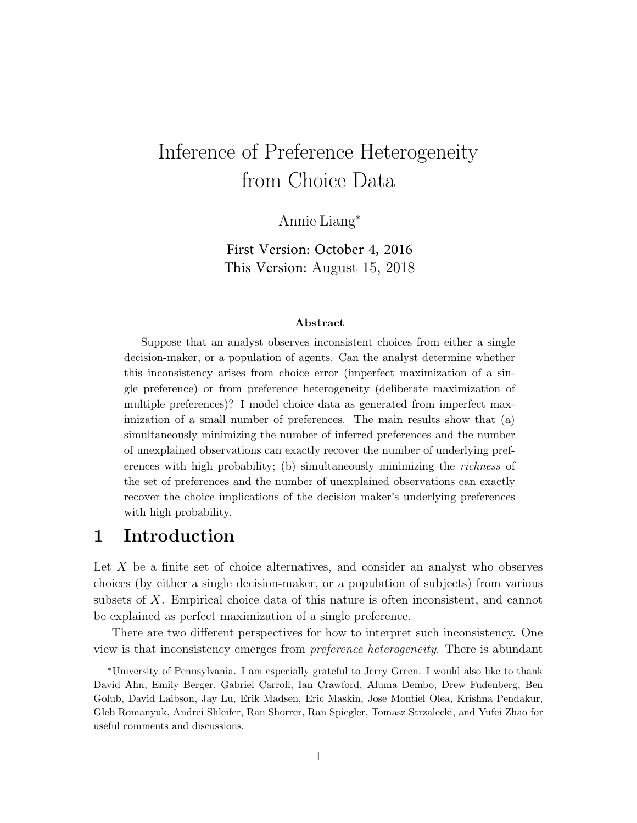# Inference of Preference Heterogeneity from Choice Data

Annie Liang<sup>∗</sup>

First Version: October 4, 2016 This Version: August 15, 2018

#### Abstract

Suppose that an analyst observes inconsistent choices from either a single decision-maker, or a population of agents. Can the analyst determine whether this inconsistency arises from choice error (imperfect maximization of a single preference) or from preference heterogeneity (deliberate maximization of multiple preferences)? I model choice data as generated from imperfect maximization of a small number of preferences. The main results show that (a) simultaneously minimizing the number of inferred preferences and the number of unexplained observations can exactly recover the number of underlying preferences with high probability; (b) simultaneously minimizing the *richness* of the set of preferences and the number of unexplained observations can exactly recover the choice implications of the decision maker's underlying preferences with high probability.

## 1 Introduction

Let X be a finite set of choice alternatives, and consider an analyst who observes choices (by either a single decision-maker, or a population of subjects) from various subsets of X. Empirical choice data of this nature is often inconsistent, and cannot be explained as perfect maximization of a single preference.

There are two different perspectives for how to interpret such inconsistency. One view is that inconsistency emerges from preference heterogeneity. There is abundant

<sup>∗</sup>University of Pennsylvania. I am especially grateful to Jerry Green. I would also like to thank David Ahn, Emily Berger, Gabriel Carroll, Ian Crawford, Aluma Dembo, Drew Fudenberg, Ben Golub, David Laibson, Jay Lu, Erik Madsen, Eric Maskin, Jose Montiel Olea, Krishna Pendakur, Gleb Romanyuk, Andrei Shleifer, Ran Shorrer, Ran Spiegler, Tomasz Strzalecki, and Yufei Zhao for useful comments and discussions.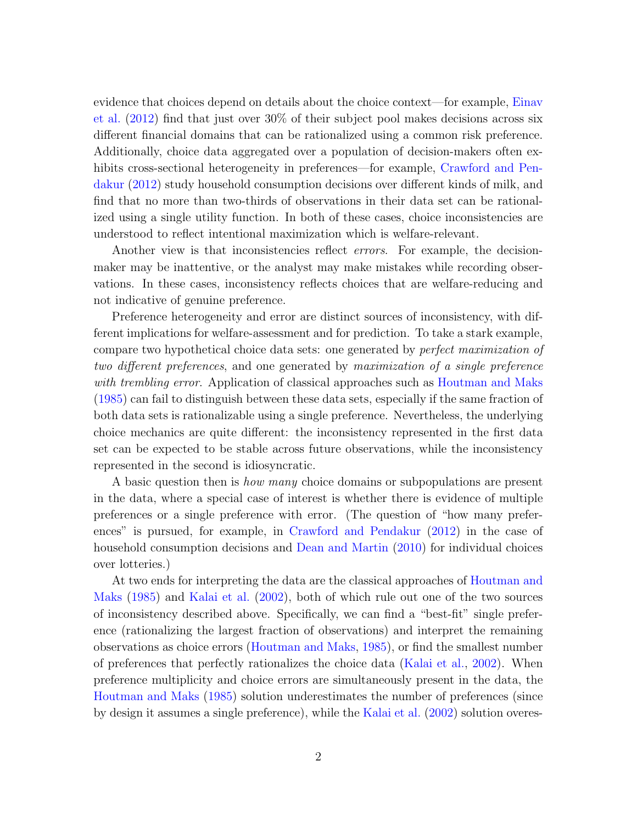evidence that choices depend on details about the choice context—for example, [Einav](#page-47-0) [et al.](#page-47-0) [\(2012\)](#page-47-0) find that just over 30% of their subject pool makes decisions across six different financial domains that can be rationalized using a common risk preference. Additionally, choice data aggregated over a population of decision-makers often ex-hibits cross-sectional heterogeneity in preferences—for example, [Crawford and Pen](#page-47-1)[dakur](#page-47-1) [\(2012\)](#page-47-1) study household consumption decisions over different kinds of milk, and find that no more than two-thirds of observations in their data set can be rationalized using a single utility function. In both of these cases, choice inconsistencies are understood to reflect intentional maximization which is welfare-relevant.

Another view is that inconsistencies reflect errors. For example, the decisionmaker may be inattentive, or the analyst may make mistakes while recording observations. In these cases, inconsistency reflects choices that are welfare-reducing and not indicative of genuine preference.

Preference heterogeneity and error are distinct sources of inconsistency, with different implications for welfare-assessment and for prediction. To take a stark example, compare two hypothetical choice data sets: one generated by perfect maximization of two different preferences, and one generated by maximization of a single preference with trembling error. Application of classical approaches such as [Houtman and Maks](#page-48-0) [\(1985\)](#page-48-0) can fail to distinguish between these data sets, especially if the same fraction of both data sets is rationalizable using a single preference. Nevertheless, the underlying choice mechanics are quite different: the inconsistency represented in the first data set can be expected to be stable across future observations, while the inconsistency represented in the second is idiosyncratic.

A basic question then is *how many* choice domains or subpopulations are present in the data, where a special case of interest is whether there is evidence of multiple preferences or a single preference with error. (The question of "how many preferences" is pursued, for example, in [Crawford and Pendakur](#page-47-1) [\(2012\)](#page-47-1) in the case of household consumption decisions and [Dean and Martin](#page-47-2) [\(2010\)](#page-47-2) for individual choices over lotteries.)

At two ends for interpreting the data are the classical approaches of [Houtman and](#page-48-0) [Maks](#page-48-0) [\(1985\)](#page-48-0) and [Kalai et al.](#page-48-1) [\(2002\)](#page-48-1), both of which rule out one of the two sources of inconsistency described above. Specifically, we can find a "best-fit" single preference (rationalizing the largest fraction of observations) and interpret the remaining observations as choice errors [\(Houtman and Maks,](#page-48-0) [1985\)](#page-48-0), or find the smallest number of preferences that perfectly rationalizes the choice data [\(Kalai et al.,](#page-48-1) [2002\)](#page-48-1). When preference multiplicity and choice errors are simultaneously present in the data, the [Houtman and Maks](#page-48-0) [\(1985\)](#page-48-0) solution underestimates the number of preferences (since by design it assumes a single preference), while the [Kalai et al.](#page-48-1) [\(2002\)](#page-48-1) solution overes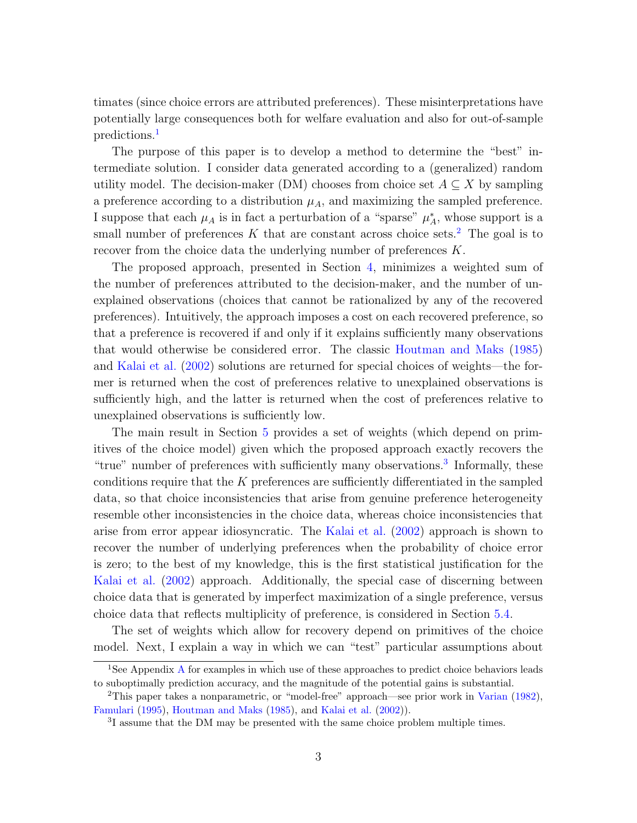timates (since choice errors are attributed preferences). These misinterpretations have potentially large consequences both for welfare evaluation and also for out-of-sample predictions.<sup>[1](#page-2-0)</sup>

The purpose of this paper is to develop a method to determine the "best" intermediate solution. I consider data generated according to a (generalized) random utility model. The decision-maker (DM) chooses from choice set  $A \subseteq X$  by sampling a preference according to a distribution  $\mu_A$ , and maximizing the sampled preference. I suppose that each  $\mu_A$  is in fact a perturbation of a "sparse"  $\mu_A^*$ , whose support is a small number of preferences  $K$  that are constant across choice sets.<sup>[2](#page-2-1)</sup> The goal is to recover from the choice data the underlying number of preferences K.

The proposed approach, presented in Section [4,](#page-10-0) minimizes a weighted sum of the number of preferences attributed to the decision-maker, and the number of unexplained observations (choices that cannot be rationalized by any of the recovered preferences). Intuitively, the approach imposes a cost on each recovered preference, so that a preference is recovered if and only if it explains sufficiently many observations that would otherwise be considered error. The classic [Houtman and Maks](#page-48-0) [\(1985\)](#page-48-0) and [Kalai et al.](#page-48-1) [\(2002\)](#page-48-1) solutions are returned for special choices of weights—the former is returned when the cost of preferences relative to unexplained observations is sufficiently high, and the latter is returned when the cost of preferences relative to unexplained observations is sufficiently low.

The main result in Section [5](#page-12-0) provides a set of weights (which depend on primitives of the choice model) given which the proposed approach exactly recovers the "true" number of preferences with sufficiently many observations.<sup>[3](#page-2-2)</sup> Informally, these conditions require that the  $K$  preferences are sufficiently differentiated in the sampled data, so that choice inconsistencies that arise from genuine preference heterogeneity resemble other inconsistencies in the choice data, whereas choice inconsistencies that arise from error appear idiosyncratic. The [Kalai et al.](#page-48-1) [\(2002\)](#page-48-1) approach is shown to recover the number of underlying preferences when the probability of choice error is zero; to the best of my knowledge, this is the first statistical justification for the [Kalai et al.](#page-48-1) [\(2002\)](#page-48-1) approach. Additionally, the special case of discerning between choice data that is generated by imperfect maximization of a single preference, versus choice data that reflects multiplicity of preference, is considered in Section [5.4.](#page-19-0)

The set of weights which allow for recovery depend on primitives of the choice model. Next, I explain a way in which we can "test" particular assumptions about

<span id="page-2-0"></span><sup>&</sup>lt;sup>1</sup>See [A](#page-34-0)ppendix A for examples in which use of these approaches to predict choice behaviors leads to suboptimally prediction accuracy, and the magnitude of the potential gains is substantial.

<span id="page-2-1"></span><sup>2</sup>This paper takes a nonparametric, or "model-free" approach—see prior work in [Varian](#page-48-2) [\(1982\)](#page-48-2), [Famulari](#page-47-3) [\(1995\)](#page-47-3), [Houtman and Maks](#page-48-0) [\(1985\)](#page-48-0), and [Kalai et al.](#page-48-1) [\(2002\)](#page-48-1)).

<span id="page-2-2"></span><sup>3</sup> I assume that the DM may be presented with the same choice problem multiple times.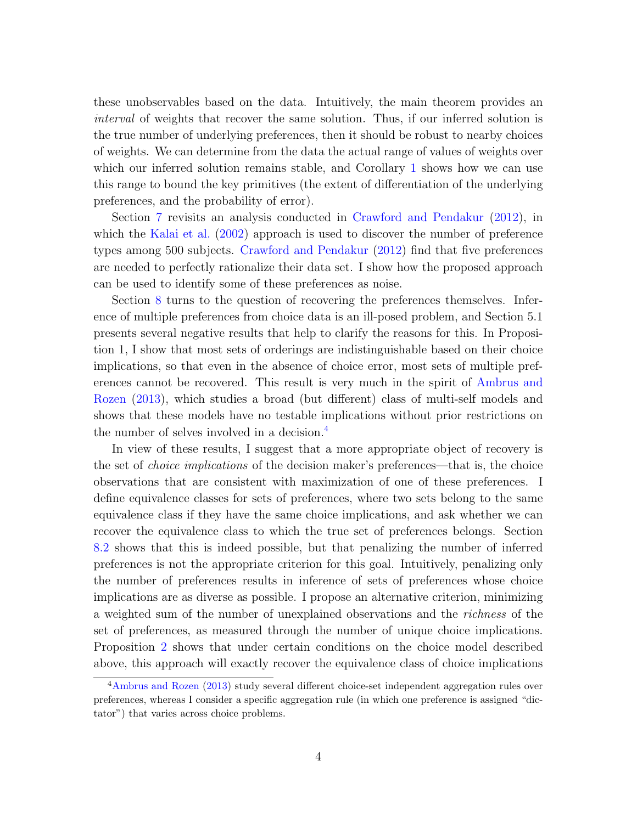these unobservables based on the data. Intuitively, the main theorem provides an interval of weights that recover the same solution. Thus, if our inferred solution is the true number of underlying preferences, then it should be robust to nearby choices of weights. We can determine from the data the actual range of values of weights over which our inferred solution remains stable, and Corollary [1](#page-18-0) shows how we can use this range to bound the key primitives (the extent of differentiation of the underlying preferences, and the probability of error).

Section [7](#page-24-0) revisits an analysis conducted in [Crawford and Pendakur](#page-47-1) [\(2012\)](#page-47-1), in which the [Kalai et al.](#page-48-1) [\(2002\)](#page-48-1) approach is used to discover the number of preference types among 500 subjects. [Crawford and Pendakur](#page-47-1) [\(2012\)](#page-47-1) find that five preferences are needed to perfectly rationalize their data set. I show how the proposed approach can be used to identify some of these preferences as noise.

Section [8](#page-27-0) turns to the question of recovering the preferences themselves. Inference of multiple preferences from choice data is an ill-posed problem, and Section 5.1 presents several negative results that help to clarify the reasons for this. In Proposition 1, I show that most sets of orderings are indistinguishable based on their choice implications, so that even in the absence of choice error, most sets of multiple preferences cannot be recovered. This result is very much in the spirit of [Ambrus and](#page-47-4) [Rozen](#page-47-4) [\(2013\)](#page-47-4), which studies a broad (but different) class of multi-self models and shows that these models have no testable implications without prior restrictions on the number of selves involved in a decision.<sup>[4](#page-3-0)</sup>

In view of these results, I suggest that a more appropriate object of recovery is the set of *choice implications* of the decision maker's preferences—that is, the choice observations that are consistent with maximization of one of these preferences. I define equivalence classes for sets of preferences, where two sets belong to the same equivalence class if they have the same choice implications, and ask whether we can recover the equivalence class to which the true set of preferences belongs. Section [8.2](#page-28-0) shows that this is indeed possible, but that penalizing the number of inferred preferences is not the appropriate criterion for this goal. Intuitively, penalizing only the number of preferences results in inference of sets of preferences whose choice implications are as diverse as possible. I propose an alternative criterion, minimizing a weighted sum of the number of unexplained observations and the richness of the set of preferences, as measured through the number of unique choice implications. Proposition [2](#page-29-0) shows that under certain conditions on the choice model described above, this approach will exactly recover the equivalence class of choice implications

<span id="page-3-0"></span><sup>&</sup>lt;sup>4</sup>[Ambrus and Rozen](#page-47-4) [\(2013\)](#page-47-4) study several different choice-set independent aggregation rules over preferences, whereas I consider a specific aggregation rule (in which one preference is assigned "dictator") that varies across choice problems.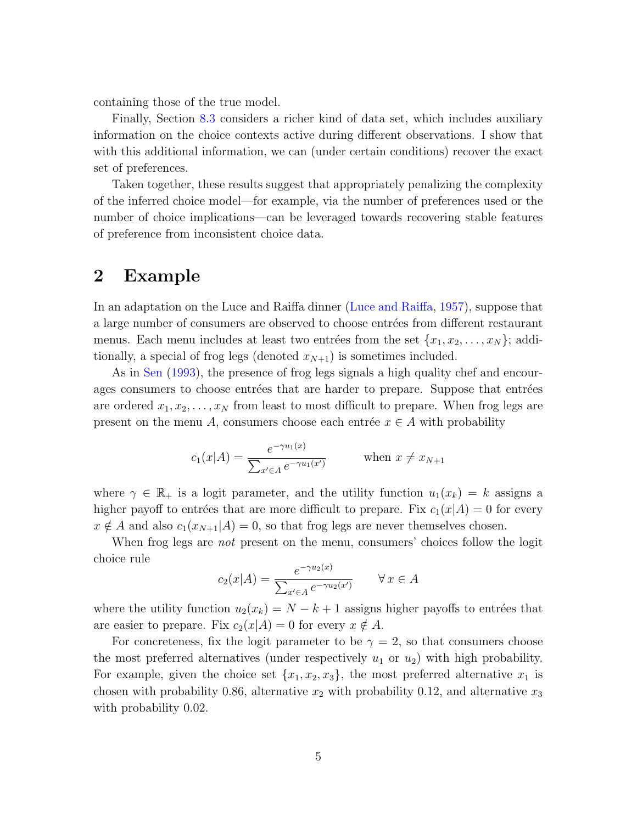containing those of the true model.

Finally, Section [8.3](#page-30-0) considers a richer kind of data set, which includes auxiliary information on the choice contexts active during different observations. I show that with this additional information, we can (under certain conditions) recover the exact set of preferences.

Taken together, these results suggest that appropriately penalizing the complexity of the inferred choice model—for example, via the number of preferences used or the number of choice implications—can be leveraged towards recovering stable features of preference from inconsistent choice data.

## <span id="page-4-0"></span>2 Example

In an adaptation on the Luce and Raiffa dinner [\(Luce and Raiffa,](#page-48-3) [1957\)](#page-48-3), suppose that a large number of consumers are observed to choose entrées from different restaurant menus. Each menu includes at least two entrées from the set  ${x_1, x_2, \ldots, x_N}$ ; additionally, a special of frog legs (denoted  $x_{N+1}$ ) is sometimes included.

As in [Sen](#page-48-4) [\(1993\)](#page-48-4), the presence of frog legs signals a high quality chef and encourages consumers to choose entrées that are harder to prepare. Suppose that entrées are ordered  $x_1, x_2, \ldots, x_N$  from least to most difficult to prepare. When frog legs are present on the menu A, consumers choose each entrée  $x \in A$  with probability

$$
c_1(x|A) = \frac{e^{-\gamma u_1(x)}}{\sum_{x' \in A} e^{-\gamma u_1(x')}} \quad \text{when } x \neq x_{N+1}
$$

where  $\gamma \in \mathbb{R}_+$  is a logit parameter, and the utility function  $u_1(x_k) = k$  assigns a higher payoff to entrées that are more difficult to prepare. Fix  $c_1(x|A) = 0$  for every  $x \notin A$  and also  $c_1(x_{N+1}|A) = 0$ , so that frog legs are never themselves chosen.

When frog legs are *not* present on the menu, consumers' choices follow the logit choice rule

$$
c_2(x|A) = \frac{e^{-\gamma u_2(x)}}{\sum_{x' \in A} e^{-\gamma u_2(x')}} \qquad \forall x \in A
$$

where the utility function  $u_2(x_k) = N - k + 1$  assigns higher payoffs to entrées that are easier to prepare. Fix  $c_2(x|A) = 0$  for every  $x \notin A$ .

For concreteness, fix the logit parameter to be  $\gamma = 2$ , so that consumers choose the most preferred alternatives (under respectively  $u_1$  or  $u_2$ ) with high probability. For example, given the choice set  $\{x_1, x_2, x_3\}$ , the most preferred alternative  $x_1$  is chosen with probability 0.86, alternative  $x_2$  with probability 0.12, and alternative  $x_3$ with probability 0.02.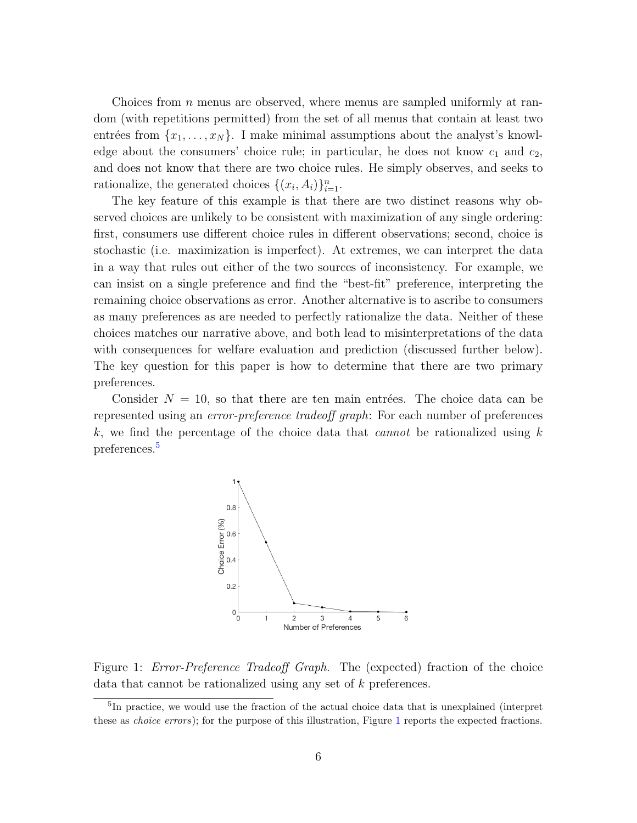Choices from  $n$  menus are observed, where menus are sampled uniformly at random (with repetitions permitted) from the set of all menus that contain at least two entrées from  ${x_1, \ldots, x_N}$ . I make minimal assumptions about the analyst's knowledge about the consumers' choice rule; in particular, he does not know  $c_1$  and  $c_2$ , and does not know that there are two choice rules. He simply observes, and seeks to rationalize, the generated choices  $\{(x_i, A_i)\}_{i=1}^n$ .

The key feature of this example is that there are two distinct reasons why observed choices are unlikely to be consistent with maximization of any single ordering: first, consumers use different choice rules in different observations; second, choice is stochastic (i.e. maximization is imperfect). At extremes, we can interpret the data in a way that rules out either of the two sources of inconsistency. For example, we can insist on a single preference and find the "best-fit" preference, interpreting the remaining choice observations as error. Another alternative is to ascribe to consumers as many preferences as are needed to perfectly rationalize the data. Neither of these choices matches our narrative above, and both lead to misinterpretations of the data with consequences for welfare evaluation and prediction (discussed further below). The key question for this paper is how to determine that there are two primary preferences.

Consider  $N = 10$ , so that there are ten main entrées. The choice data can be represented using an *error-preference tradeoff graph*: For each number of preferences k, we find the percentage of the choice data that *cannot* be rationalized using  $k$ preferences.[5](#page-5-0)



<span id="page-5-1"></span>Figure 1: *Error-Preference Tradeoff Graph*. The (expected) fraction of the choice data that cannot be rationalized using any set of k preferences.

<span id="page-5-0"></span><sup>&</sup>lt;sup>5</sup>In practice, we would use the fraction of the actual choice data that is unexplained (interpret these as *choice errors*); for the purpose of this illustration, Figure [1](#page-5-1) reports the expected fractions.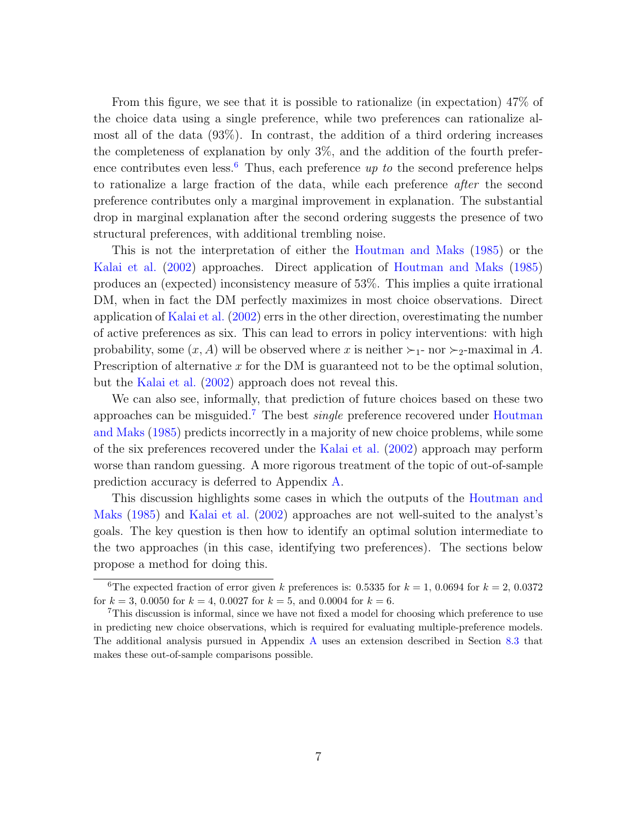From this figure, we see that it is possible to rationalize (in expectation) 47% of the choice data using a single preference, while two preferences can rationalize almost all of the data (93%). In contrast, the addition of a third ordering increases the completeness of explanation by only 3%, and the addition of the fourth prefer-ence contributes even less.<sup>[6](#page-6-0)</sup> Thus, each preference up to the second preference helps to rationalize a large fraction of the data, while each preference after the second preference contributes only a marginal improvement in explanation. The substantial drop in marginal explanation after the second ordering suggests the presence of two structural preferences, with additional trembling noise.

This is not the interpretation of either the [Houtman and Maks](#page-48-0) [\(1985\)](#page-48-0) or the [Kalai et al.](#page-48-1) [\(2002\)](#page-48-1) approaches. Direct application of [Houtman and Maks](#page-48-0) [\(1985\)](#page-48-0) produces an (expected) inconsistency measure of 53%. This implies a quite irrational DM, when in fact the DM perfectly maximizes in most choice observations. Direct application of [Kalai et al.](#page-48-1) [\(2002\)](#page-48-1) errs in the other direction, overestimating the number of active preferences as six. This can lead to errors in policy interventions: with high probability, some  $(x, A)$  will be observed where x is neither  $\succ_1$ - nor  $\succ_2$ -maximal in A. Prescription of alternative  $x$  for the DM is guaranteed not to be the optimal solution, but the [Kalai et al.](#page-48-1) [\(2002\)](#page-48-1) approach does not reveal this.

We can also see, informally, that prediction of future choices based on these two approaches can be misguided.<sup>[7](#page-6-1)</sup> The best *single* preference recovered under [Houtman](#page-48-0) [and Maks](#page-48-0) [\(1985\)](#page-48-0) predicts incorrectly in a majority of new choice problems, while some of the six preferences recovered under the [Kalai et al.](#page-48-1) [\(2002\)](#page-48-1) approach may perform worse than random guessing. A more rigorous treatment of the topic of out-of-sample prediction accuracy is deferred to Appendix [A.](#page-34-0)

This discussion highlights some cases in which the outputs of the [Houtman and](#page-48-0) [Maks](#page-48-0) [\(1985\)](#page-48-0) and [Kalai et al.](#page-48-1) [\(2002\)](#page-48-1) approaches are not well-suited to the analyst's goals. The key question is then how to identify an optimal solution intermediate to the two approaches (in this case, identifying two preferences). The sections below propose a method for doing this.

<span id="page-6-0"></span><sup>&</sup>lt;sup>6</sup>The expected fraction of error given k preferences is: 0.5335 for  $k = 1, 0.0694$  for  $k = 2, 0.0372$ for  $k = 3, 0.0050$  for  $k = 4, 0.0027$  for  $k = 5$ , and 0.0004 for  $k = 6$ .

<span id="page-6-1"></span><sup>7</sup>This discussion is informal, since we have not fixed a model for choosing which preference to use in predicting new choice observations, which is required for evaluating multiple-preference models. The additional analysis pursued in Appendix [A](#page-34-0) uses an extension described in Section [8.3](#page-30-0) that makes these out-of-sample comparisons possible.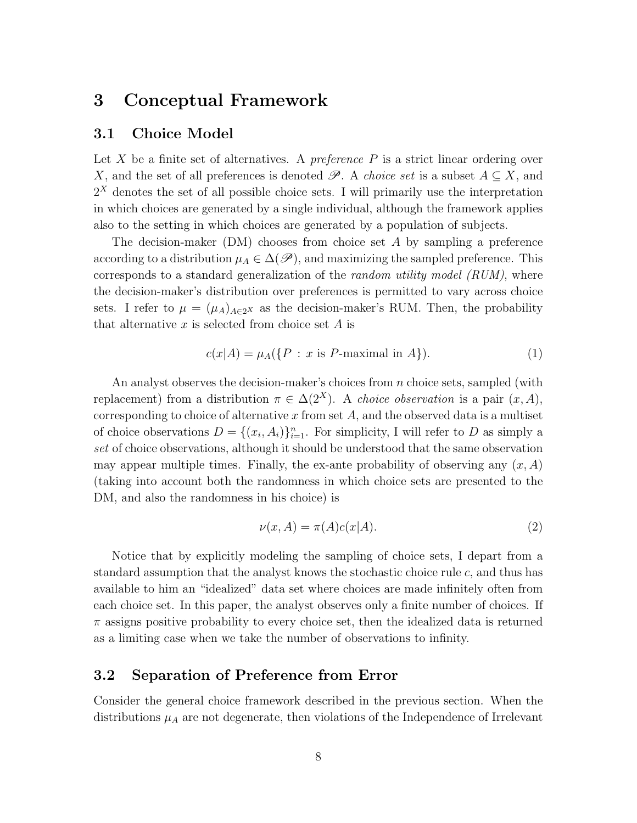## <span id="page-7-2"></span>3 Conceptual Framework

## 3.1 Choice Model

Let X be a finite set of alternatives. A *preference*  $P$  is a strict linear ordering over X, and the set of all preferences is denoted  $\mathscr{P}$ . A *choice set* is a subset  $A \subseteq X$ , and  $2<sup>X</sup>$  denotes the set of all possible choice sets. I will primarily use the interpretation in which choices are generated by a single individual, although the framework applies also to the setting in which choices are generated by a population of subjects.

The decision-maker  $(DM)$  chooses from choice set A by sampling a preference according to a distribution  $\mu_A \in \Delta(\mathscr{P})$ , and maximizing the sampled preference. This corresponds to a standard generalization of the random utility model (RUM), where the decision-maker's distribution over preferences is permitted to vary across choice sets. I refer to  $\mu = (\mu_A)_{A \in 2^X}$  as the decision-maker's RUM. Then, the probability that alternative  $x$  is selected from choice set  $A$  is

<span id="page-7-0"></span>
$$
c(x|A) = \mu_A(\{P : x \text{ is } P\text{-maximal in } A\}).\tag{1}
$$

An analyst observes the decision-maker's choices from n choice sets, sampled (with replacement) from a distribution  $\pi \in \Delta(2^X)$ . A *choice observation* is a pair  $(x, A)$ , corresponding to choice of alternative  $x$  from set  $A$ , and the observed data is a multiset of choice observations  $D = \{(x_i, A_i)\}_{i=1}^n$ . For simplicity, I will refer to D as simply a set of choice observations, although it should be understood that the same observation may appear multiple times. Finally, the ex-ante probability of observing any  $(x, A)$ (taking into account both the randomness in which choice sets are presented to the DM, and also the randomness in his choice) is

<span id="page-7-1"></span>
$$
\nu(x, A) = \pi(A)c(x|A). \tag{2}
$$

Notice that by explicitly modeling the sampling of choice sets, I depart from a standard assumption that the analyst knows the stochastic choice rule c, and thus has available to him an "idealized" data set where choices are made infinitely often from each choice set. In this paper, the analyst observes only a finite number of choices. If  $\pi$  assigns positive probability to every choice set, then the idealized data is returned as a limiting case when we take the number of observations to infinity.

## 3.2 Separation of Preference from Error

Consider the general choice framework described in the previous section. When the distributions  $\mu_A$  are not degenerate, then violations of the Independence of Irrelevant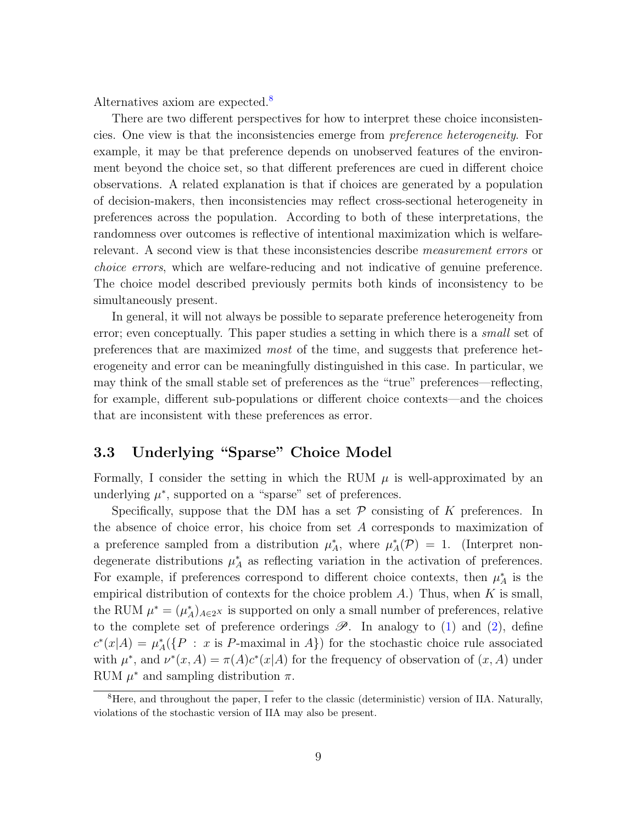Alternatives axiom are expected.<sup>[8](#page-8-0)</sup>

There are two different perspectives for how to interpret these choice inconsistencies. One view is that the inconsistencies emerge from preference heterogeneity. For example, it may be that preference depends on unobserved features of the environment beyond the choice set, so that different preferences are cued in different choice observations. A related explanation is that if choices are generated by a population of decision-makers, then inconsistencies may reflect cross-sectional heterogeneity in preferences across the population. According to both of these interpretations, the randomness over outcomes is reflective of intentional maximization which is welfarerelevant. A second view is that these inconsistencies describe *measurement errors* or choice errors, which are welfare-reducing and not indicative of genuine preference. The choice model described previously permits both kinds of inconsistency to be simultaneously present.

In general, it will not always be possible to separate preference heterogeneity from error; even conceptually. This paper studies a setting in which there is a *small* set of preferences that are maximized most of the time, and suggests that preference heterogeneity and error can be meaningfully distinguished in this case. In particular, we may think of the small stable set of preferences as the "true" preferences—reflecting, for example, different sub-populations or different choice contexts—and the choices that are inconsistent with these preferences as error.

## <span id="page-8-1"></span>3.3 Underlying "Sparse" Choice Model

Formally, I consider the setting in which the RUM  $\mu$  is well-approximated by an underlying  $\mu^*$ , supported on a "sparse" set of preferences.

Specifically, suppose that the DM has a set  $P$  consisting of K preferences. In the absence of choice error, his choice from set A corresponds to maximization of a preference sampled from a distribution  $\mu_A^*$ , where  $\mu_A^*(\mathcal{P}) = 1$ . (Interpret nondegenerate distributions  $\mu_A^*$  as reflecting variation in the activation of preferences. For example, if preferences correspond to different choice contexts, then  $\mu_A^*$  is the empirical distribution of contexts for the choice problem  $A$ .) Thus, when  $K$  is small, the RUM  $\mu^* = (\mu_A^*)_{A \in 2^X}$  is supported on only a small number of preferences, relative to the complete set of preference orderings  $\mathscr{P}$ . In analogy to [\(1\)](#page-7-0) and [\(2\)](#page-7-1), define  $c^*(x|A) = \mu_A^*(\{P : x \text{ is } P\text{-maximal in } A\})$  for the stochastic choice rule associated with  $\mu^*$ , and  $\nu^*(x, A) = \pi(A)c^*(x|A)$  for the frequency of observation of  $(x, A)$  under RUM  $\mu^*$  and sampling distribution  $\pi$ .

<span id="page-8-0"></span><sup>&</sup>lt;sup>8</sup>Here, and throughout the paper, I refer to the classic (deterministic) version of IIA. Naturally, violations of the stochastic version of IIA may also be present.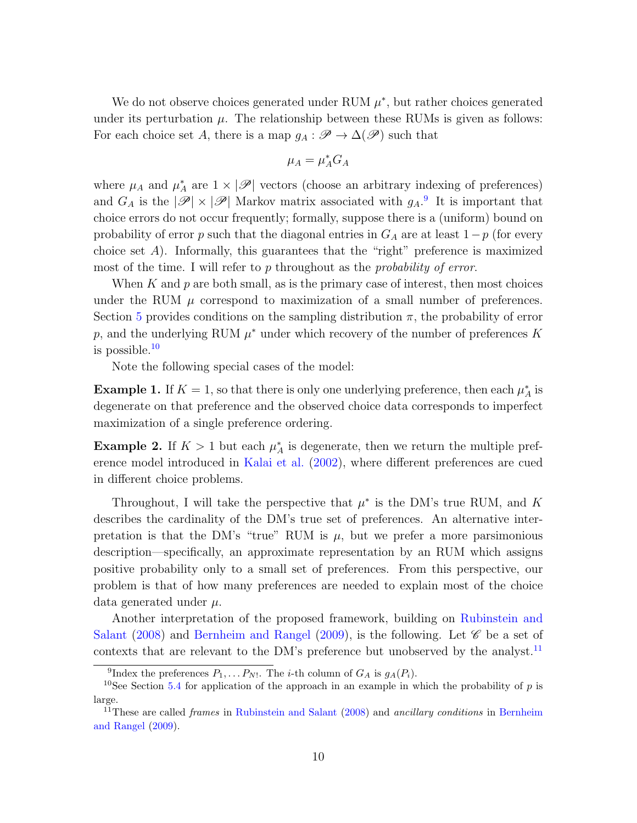We do not observe choices generated under RUM  $\mu^*$ , but rather choices generated under its perturbation  $\mu$ . The relationship between these RUMs is given as follows: For each choice set A, there is a map  $g_A : \mathscr{P} \to \Delta(\mathscr{P})$  such that

$$
\mu_A = \mu_A^* G_A
$$

where  $\mu_A$  and  $\mu_A^*$  are  $1 \times |\mathscr{P}|$  vectors (choose an arbitrary indexing of preferences) and  $G_A$  is the  $|\mathscr{P}| \times |\mathscr{P}|$  Markov matrix associated with  $g_A$ .<sup>[9](#page-9-0)</sup> It is important that choice errors do not occur frequently; formally, suppose there is a (uniform) bound on probability of error p such that the diagonal entries in  $G_A$  are at least  $1-p$  (for every choice set  $A$ ). Informally, this guarantees that the "right" preference is maximized most of the time. I will refer to  $p$  throughout as the *probability of error*.

When K and  $p$  are both small, as is the primary case of interest, then most choices under the RUM  $\mu$  correspond to maximization of a small number of preferences. Section [5](#page-12-0) provides conditions on the sampling distribution  $\pi$ , the probability of error p, and the underlying RUM  $\mu^*$  under which recovery of the number of preferences K is possible.[10](#page-9-1)

Note the following special cases of the model:

**Example 1.** If  $K = 1$ , so that there is only one underlying preference, then each  $\mu_A^*$  is degenerate on that preference and the observed choice data corresponds to imperfect maximization of a single preference ordering.

**Example 2.** If  $K > 1$  but each  $\mu_A^*$  is degenerate, then we return the multiple preference model introduced in [Kalai et al.](#page-48-1) [\(2002\)](#page-48-1), where different preferences are cued in different choice problems.

Throughout, I will take the perspective that  $\mu^*$  is the DM's true RUM, and K describes the cardinality of the DM's true set of preferences. An alternative interpretation is that the DM's "true" RUM is  $\mu$ , but we prefer a more parsimonious description—specifically, an approximate representation by an RUM which assigns positive probability only to a small set of preferences. From this perspective, our problem is that of how many preferences are needed to explain most of the choice data generated under  $\mu$ .

Another interpretation of the proposed framework, building on [Rubinstein and](#page-48-5) [Salant](#page-48-5) [\(2008\)](#page-48-5) and [Bernheim and Rangel](#page-47-5) [\(2009\)](#page-47-5), is the following. Let  $\mathscr C$  be a set of contexts that are relevant to the DM's preference but unobserved by the analyst.<sup>[11](#page-9-2)</sup>

<span id="page-9-1"></span><span id="page-9-0"></span><sup>&</sup>lt;sup>9</sup>Index the preferences  $P_1, \ldots P_{N!}$ . The *i*-th column of  $G_A$  is  $g_A(P_i)$ .

<sup>&</sup>lt;sup>10</sup>See Section [5.4](#page-19-0) for application of the approach in an example in which the probability of p is large.

<span id="page-9-2"></span><sup>&</sup>lt;sup>11</sup>These are called *frames* in [Rubinstein and Salant](#page-48-5) [\(2008\)](#page-48-5) and *ancillary conditions* in [Bernheim](#page-47-5) [and Rangel](#page-47-5) [\(2009\)](#page-47-5).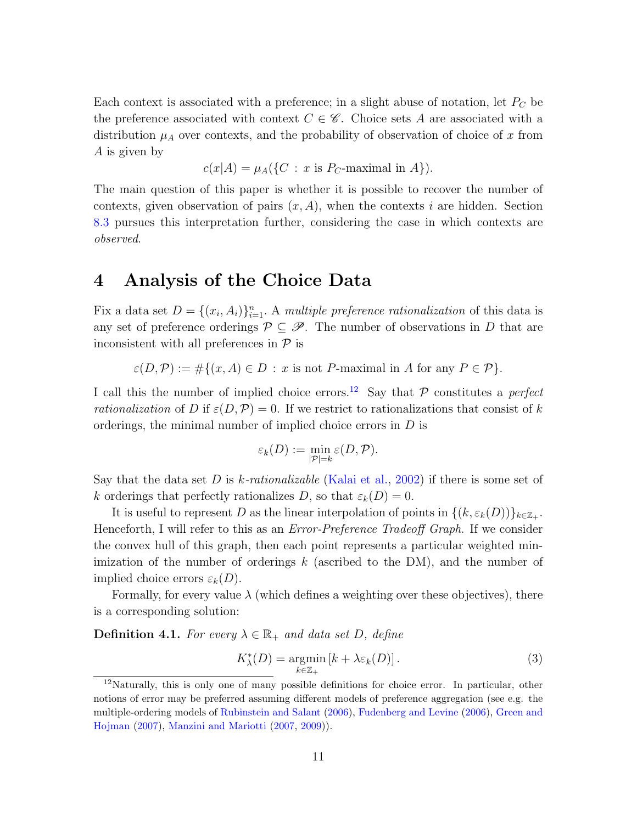Each context is associated with a preference; in a slight abuse of notation, let  $P<sub>C</sub>$  be the preference associated with context  $C \in \mathscr{C}$ . Choice sets A are associated with a distribution  $\mu_A$  over contexts, and the probability of observation of choice of x from A is given by

 $c(x|A) = \mu_A(\{C : x \text{ is } P_C\text{-maximal in } A\}).$ 

The main question of this paper is whether it is possible to recover the number of contexts, given observation of pairs  $(x, A)$ , when the contexts i are hidden. Section [8.3](#page-30-0) pursues this interpretation further, considering the case in which contexts are observed.

## <span id="page-10-0"></span>4 Analysis of the Choice Data

Fix a data set  $D = \{(x_i, A_i)\}_{i=1}^n$ . A multiple preference rationalization of this data is any set of preference orderings  $\mathcal{P} \subseteq \mathcal{P}$ . The number of observations in D that are inconsistent with all preferences in  $\mathcal P$  is

 $\varepsilon(D,\mathcal{P}) := \#\{(x,A)\in D : x \text{ is not } P\text{-maximal in } A \text{ for any } P \in \mathcal{P}\}.$ 

I call this the number of implied choice errors.<sup>[12](#page-10-1)</sup> Say that  $P$  constitutes a perfect *rationalization* of D if  $\varepsilon(D,\mathcal{P})=0$ . If we restrict to rationalizations that consist of k orderings, the minimal number of implied choice errors in  $D$  is

$$
\varepsilon_k(D) := \min_{|\mathcal{P}|=k} \varepsilon(D, \mathcal{P}).
$$

Say that the data set D is k-rationalizable [\(Kalai et al.,](#page-48-1) [2002\)](#page-48-1) if there is some set of k orderings that perfectly rationalizes D, so that  $\varepsilon_k(D) = 0$ .

It is useful to represent D as the linear interpolation of points in  $\{(k, \varepsilon_k(D))\}_{k\in\mathbb{Z}_+}$ . Henceforth, I will refer to this as an *Error-Preference Tradeoff Graph*. If we consider the convex hull of this graph, then each point represents a particular weighted minimization of the number of orderings  $k$  (ascribed to the DM), and the number of implied choice errors  $\varepsilon_k(D)$ .

Formally, for every value  $\lambda$  (which defines a weighting over these objectives), there is a corresponding solution:

<span id="page-10-3"></span>**Definition 4.1.** For every  $\lambda \in \mathbb{R}_+$  and data set D, define

<span id="page-10-2"></span>
$$
K_{\lambda}^{*}(D) = \underset{k \in \mathbb{Z}_{+}}{\operatorname{argmin}} \left[ k + \lambda \varepsilon_{k}(D) \right]. \tag{3}
$$

<span id="page-10-1"></span><sup>&</sup>lt;sup>12</sup>Naturally, this is only one of many possible definitions for choice error. In particular, other notions of error may be preferred assuming different models of preference aggregation (see e.g. the multiple-ordering models of [Rubinstein and Salant](#page-48-6) [\(2006\)](#page-48-6), [Fudenberg and Levine](#page-47-6) [\(2006\)](#page-47-6), [Green and](#page-47-7) [Hojman](#page-47-7) [\(2007\)](#page-47-7), [Manzini and Mariotti](#page-48-7) [\(2007,](#page-48-7) [2009\)](#page-48-8)).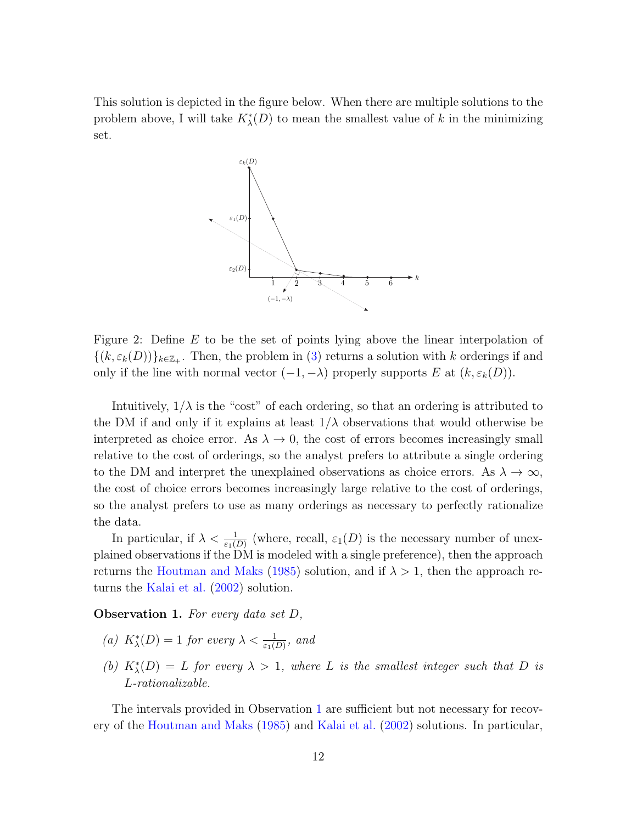This solution is depicted in the figure below. When there are multiple solutions to the problem above, I will take  $K^*_{\lambda}(D)$  to mean the smallest value of k in the minimizing set.



Figure 2: Define E to be the set of points lying above the linear interpolation of  $\{(k, \varepsilon_k(D))\}_{k\in\mathbb{Z}_+}$ . Then, the problem in [\(3\)](#page-10-2) returns a solution with k orderings if and only if the line with normal vector  $(-1, -\lambda)$  properly supports E at  $(k, \varepsilon_k(D))$ .

Intuitively,  $1/\lambda$  is the "cost" of each ordering, so that an ordering is attributed to the DM if and only if it explains at least  $1/\lambda$  observations that would otherwise be interpreted as choice error. As  $\lambda \to 0$ , the cost of errors becomes increasingly small relative to the cost of orderings, so the analyst prefers to attribute a single ordering to the DM and interpret the unexplained observations as choice errors. As  $\lambda \to \infty$ , the cost of choice errors becomes increasingly large relative to the cost of orderings, so the analyst prefers to use as many orderings as necessary to perfectly rationalize the data.

In particular, if  $\lambda < \frac{1}{\varepsilon_1(D)}$  (where, recall,  $\varepsilon_1(D)$  is the necessary number of unexplained observations if the DM is modeled with a single preference), then the approach returns the [Houtman and Maks](#page-48-0) [\(1985\)](#page-48-0) solution, and if  $\lambda > 1$ , then the approach returns the [Kalai et al.](#page-48-1) [\(2002\)](#page-48-1) solution.

<span id="page-11-0"></span>Observation 1. For every data set D,

- (a)  $K^*_{\lambda}(D) = 1$  for every  $\lambda < \frac{1}{\varepsilon_1(D)}$ , and
- (b)  $K^*_{\lambda}(D) = L$  for every  $\lambda > 1$ , where L is the smallest integer such that D is L-rationalizable.

The intervals provided in Observation [1](#page-11-0) are sufficient but not necessary for recovery of the [Houtman and Maks](#page-48-0) [\(1985\)](#page-48-0) and [Kalai et al.](#page-48-1) [\(2002\)](#page-48-1) solutions. In particular,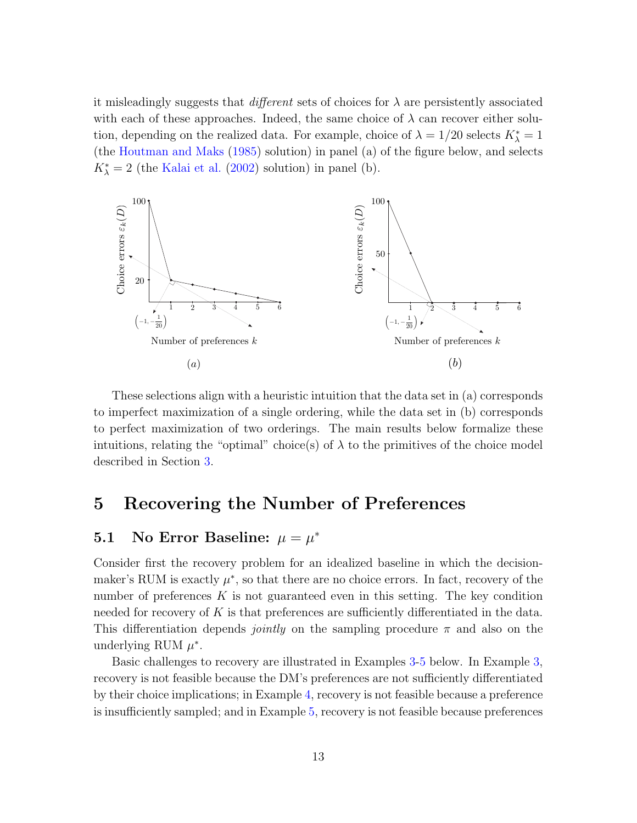it misleadingly suggests that *different* sets of choices for  $\lambda$  are persistently associated with each of these approaches. Indeed, the same choice of  $\lambda$  can recover either solution, depending on the realized data. For example, choice of  $\lambda = 1/20$  selects  $K_{\lambda}^* = 1$ (the [Houtman and Maks](#page-48-0) [\(1985\)](#page-48-0) solution) in panel (a) of the figure below, and selects  $K_{\lambda}^{*} = 2$  (the [Kalai et al.](#page-48-1) [\(2002\)](#page-48-1) solution) in panel (b).



These selections align with a heuristic intuition that the data set in (a) corresponds to imperfect maximization of a single ordering, while the data set in (b) corresponds to perfect maximization of two orderings. The main results below formalize these intuitions, relating the "optimal" choice(s) of  $\lambda$  to the primitives of the choice model described in Section [3.](#page-7-2)

## <span id="page-12-0"></span>5 Recovering the Number of Preferences

## 5.1 No Error Baseline:  $\mu = \mu^*$

Consider first the recovery problem for an idealized baseline in which the decisionmaker's RUM is exactly  $\mu^*$ , so that there are no choice errors. In fact, recovery of the number of preferences  $K$  is not guaranteed even in this setting. The key condition needed for recovery of  $K$  is that preferences are sufficiently differentiated in the data. This differentiation depends *jointly* on the sampling procedure  $\pi$  and also on the underlying RUM  $\mu^*$ .

Basic challenges to recovery are illustrated in Examples [3](#page-13-0)[-5](#page-13-1) below. In Example [3,](#page-13-0) recovery is not feasible because the DM's preferences are not sufficiently differentiated by their choice implications; in Example [4,](#page-13-2) recovery is not feasible because a preference is insufficiently sampled; and in Example [5,](#page-13-1) recovery is not feasible because preferences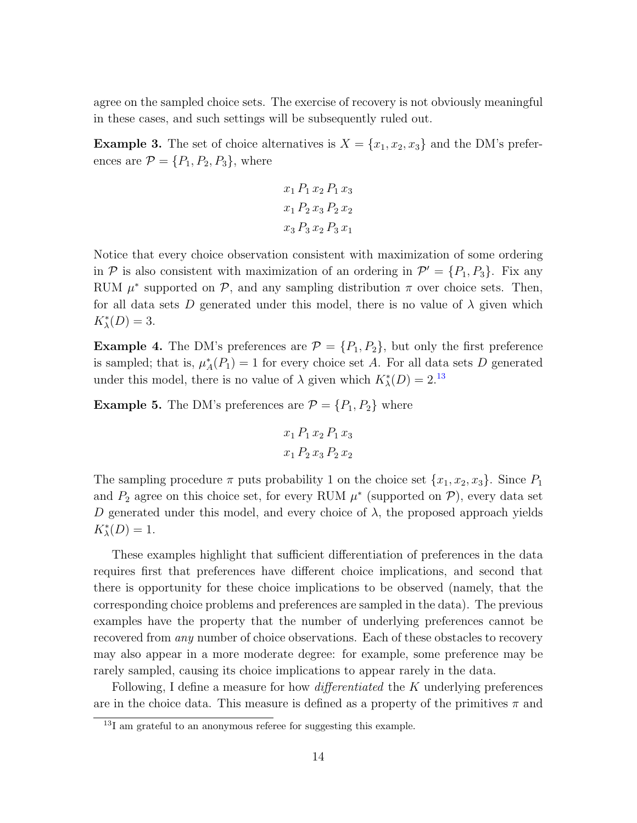agree on the sampled choice sets. The exercise of recovery is not obviously meaningful in these cases, and such settings will be subsequently ruled out.

<span id="page-13-0"></span>**Example 3.** The set of choice alternatives is  $X = \{x_1, x_2, x_3\}$  and the DM's preferences are  $\mathcal{P} = \{P_1, P_2, P_3\}$ , where

$$
x_1 P_1 x_2 P_1 x_3
$$
  

$$
x_1 P_2 x_3 P_2 x_2
$$
  

$$
x_3 P_3 x_2 P_3 x_1
$$

Notice that every choice observation consistent with maximization of some ordering in  $P$  is also consistent with maximization of an ordering in  $P' = \{P_1, P_3\}$ . Fix any RUM  $\mu^*$  supported on  $\mathcal{P}$ , and any sampling distribution  $\pi$  over choice sets. Then, for all data sets D generated under this model, there is no value of  $\lambda$  given which  $K^*_{\lambda}(D) = 3.$ 

<span id="page-13-2"></span>**Example 4.** The DM's preferences are  $\mathcal{P} = \{P_1, P_2\}$ , but only the first preference is sampled; that is,  $\mu_A^*(P_1) = 1$  for every choice set A. For all data sets D generated under this model, there is no value of  $\lambda$  given which  $K_{\lambda}^{*}(D) = 2^{13}$  $K_{\lambda}^{*}(D) = 2^{13}$  $K_{\lambda}^{*}(D) = 2^{13}$ 

<span id="page-13-1"></span>**Example 5.** The DM's preferences are  $\mathcal{P} = \{P_1, P_2\}$  where

$$
x_1 P_1 x_2 P_1 x_3
$$

$$
x_1 P_2 x_3 P_2 x_2
$$

The sampling procedure  $\pi$  puts probability 1 on the choice set  $\{x_1, x_2, x_3\}$ . Since  $P_1$ and  $P_2$  agree on this choice set, for every RUM  $\mu^*$  (supported on  $\mathcal{P}$ ), every data set D generated under this model, and every choice of  $\lambda$ , the proposed approach yields  $K^*_{\lambda}(D) = 1.$ 

These examples highlight that sufficient differentiation of preferences in the data requires first that preferences have different choice implications, and second that there is opportunity for these choice implications to be observed (namely, that the corresponding choice problems and preferences are sampled in the data). The previous examples have the property that the number of underlying preferences cannot be recovered from *any* number of choice observations. Each of these obstacles to recovery may also appear in a more moderate degree: for example, some preference may be rarely sampled, causing its choice implications to appear rarely in the data.

Following, I define a measure for how *differentiated* the K underlying preferences are in the choice data. This measure is defined as a property of the primitives  $\pi$  and

<span id="page-13-3"></span> $13I$  am grateful to an anonymous referee for suggesting this example.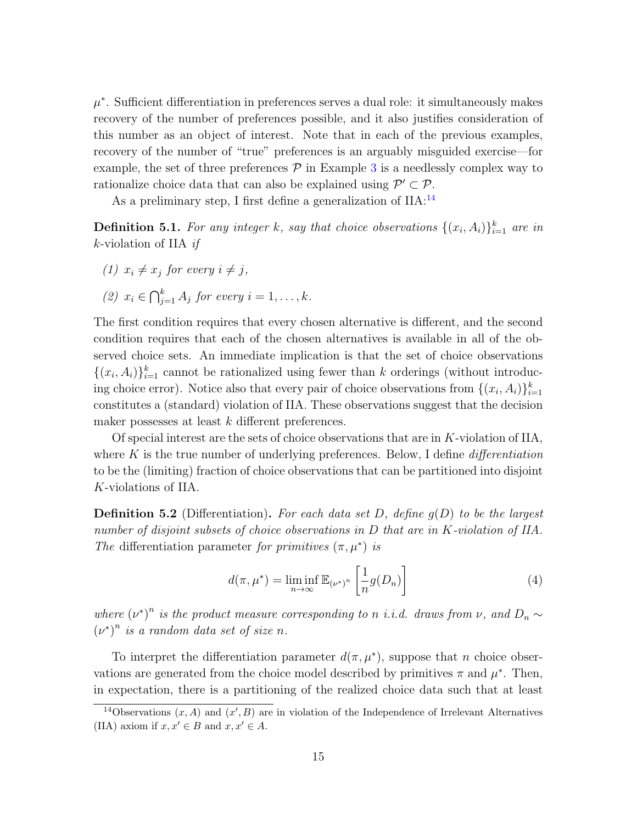$\mu^*$ . Sufficient differentiation in preferences serves a dual role: it simultaneously makes recovery of the number of preferences possible, and it also justifies consideration of this number as an object of interest. Note that in each of the previous examples, recovery of the number of "true" preferences is an arguably misguided exercise—for example, the set of three preferences  $\mathcal P$  in Example [3](#page-13-0) is a needlessly complex way to rationalize choice data that can also be explained using  $\mathcal{P}' \subset \mathcal{P}$ .

As a preliminary step, I first define a generalization of  $\rm IIA:^{14}$  $\rm IIA:^{14}$  $\rm IIA:^{14}$ 

**Definition 5.1.** For any integer k, say that choice observations  $\{(x_i, A_i)\}_{i=1}^k$  are in k-violation of IIA  $if$ 

(1) 
$$
x_i \neq x_j
$$
 for every  $i \neq j$ ,

(2) 
$$
x_i \in \bigcap_{j=1}^k A_j
$$
 for every  $i = 1, ..., k$ .

The first condition requires that every chosen alternative is different, and the second condition requires that each of the chosen alternatives is available in all of the observed choice sets. An immediate implication is that the set of choice observations  $\{(x_i, A_i)\}_{i=1}^k$  cannot be rationalized using fewer than k orderings (without introducing choice error). Notice also that every pair of choice observations from  $\{(x_i, A_i)\}_{i=1}^k$ constitutes a (standard) violation of IIA. These observations suggest that the decision maker possesses at least k different preferences.

Of special interest are the sets of choice observations that are in  $K$ -violation of IIA, where K is the true number of underlying preferences. Below, I define *differentiation* to be the (limiting) fraction of choice observations that can be partitioned into disjoint K-violations of IIA.

**Definition 5.2** (Differentiation). For each data set D, define  $g(D)$  to be the largest number of disjoint subsets of choice observations in D that are in K-violation of IIA. The differentiation parameter for primitives  $(\pi, \mu^*)$  is

$$
d(\pi, \mu^*) = \liminf_{n \to \infty} \mathbb{E}_{(\nu^*)^n} \left[ \frac{1}{n} g(D_n) \right]
$$
 (4)

where  $(\nu^*)^n$  is the product measure corresponding to n i.i.d. draws from  $\nu$ , and  $D_n \sim$  $(\nu^*)^n$  is a random data set of size n.

To interpret the differentiation parameter  $d(\pi, \mu^*)$ , suppose that *n* choice observations are generated from the choice model described by primitives  $\pi$  and  $\mu^*$ . Then, in expectation, there is a partitioning of the realized choice data such that at least

<span id="page-14-0"></span><sup>&</sup>lt;sup>14</sup>Observations  $(x, A)$  and  $(x', B)$  are in violation of the Independence of Irrelevant Alternatives (IIA) axiom if  $x, x' \in B$  and  $x, x' \in A$ .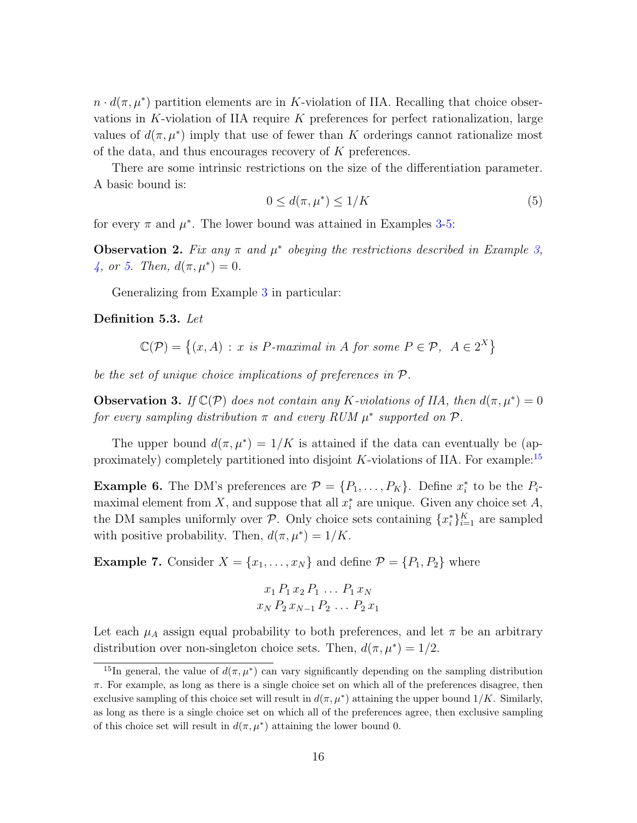$n \cdot d(\pi, \mu^*)$  partition elements are in K-violation of IIA. Recalling that choice observations in K-violation of IIA require  $K$  preferences for perfect rationalization, large values of  $d(\pi, \mu^*)$  imply that use of fewer than K orderings cannot rationalize most of the data, and thus encourages recovery of K preferences.

There are some intrinsic restrictions on the size of the differentiation parameter. A basic bound is:

<span id="page-15-1"></span>
$$
0 \le d(\pi, \mu^*) \le 1/K \tag{5}
$$

for every  $\pi$  and  $\mu^*$ . The lower bound was attained in Examples [3-](#page-13-0)[5:](#page-13-1)

**Observation 2.** Fix any  $\pi$  and  $\mu^*$  obeying the restrictions described in Example [3,](#page-13-0) [4,](#page-13-2) or [5.](#page-13-1) Then,  $d(\pi, \mu^*) = 0$ .

Generalizing from Example [3](#page-13-0) in particular:

<span id="page-15-2"></span>Definition 5.3. Let

 $\mathbb{C}(\mathcal{P}) = \{(x, A) : x \text{ is } P\text{-}maximal \text{ in } A \text{ for some } P \in \mathcal{P}, A \in 2^X\}$ 

be the set of unique choice implications of preferences in P.

**Observation 3.** If  $\mathbb{C}(\mathcal{P})$  does not contain any K-violations of IIA, then  $d(\pi, \mu^*) = 0$ for every sampling distribution  $\pi$  and every RUM  $\mu^*$  supported on  $\mathcal{P}$ .

The upper bound  $d(\pi, \mu^*) = 1/K$  is attained if the data can eventually be (ap-proximately) completely partitioned into disjoint K-violations of IIA. For example:<sup>[15](#page-15-0)</sup>

**Example 6.** The DM's preferences are  $\mathcal{P} = \{P_1, \ldots, P_K\}$ . Define  $x_i^*$  to be the  $P_i$ maximal element from X, and suppose that all  $x_i^*$  are unique. Given any choice set A, the DM samples uniformly over  $P$ . Only choice sets containing  $\{x_i^*\}_{i=1}^K$  are sampled with positive probability. Then,  $d(\pi, \mu^*) = 1/K$ .

**Example 7.** Consider  $X = \{x_1, \ldots, x_N\}$  and define  $\mathcal{P} = \{P_1, P_2\}$  where

$$
x_1 P_1 x_2 P_1 \dots P_1 x_N
$$
  

$$
x_N P_2 x_{N-1} P_2 \dots P_2 x_1
$$

Let each  $\mu_A$  assign equal probability to both preferences, and let  $\pi$  be an arbitrary distribution over non-singleton choice sets. Then,  $d(\pi, \mu^*) = 1/2$ .

<span id="page-15-0"></span><sup>&</sup>lt;sup>15</sup>In general, the value of  $d(\pi, \mu^*)$  can vary significantly depending on the sampling distribution  $\pi$ . For example, as long as there is a single choice set on which all of the preferences disagree, then exclusive sampling of this choice set will result in  $d(\pi, \mu^*)$  attaining the upper bound  $1/K$ . Similarly, as long as there is a single choice set on which all of the preferences agree, then exclusive sampling of this choice set will result in  $d(\pi, \mu^*)$  attaining the lower bound 0.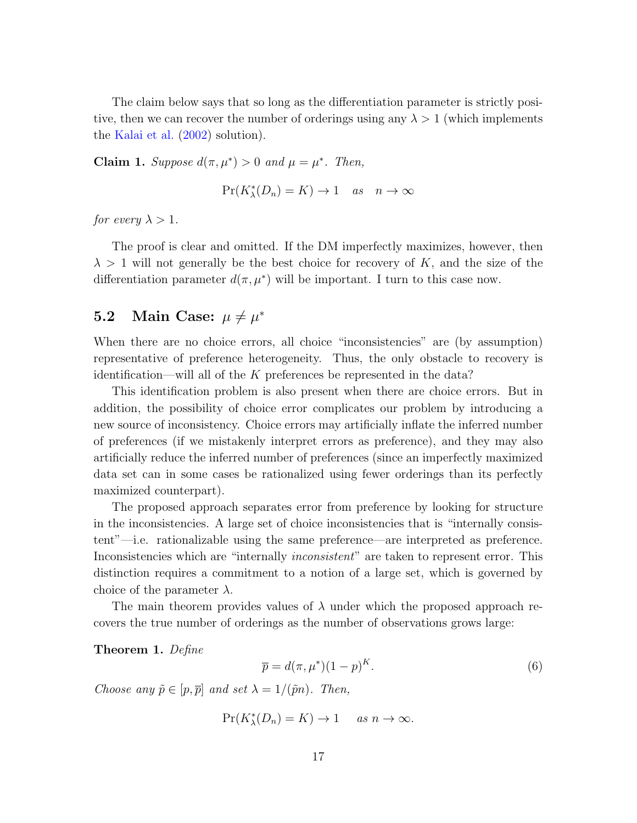The claim below says that so long as the differentiation parameter is strictly positive, then we can recover the number of orderings using any  $\lambda > 1$  (which implements the [Kalai et al.](#page-48-1) [\(2002\)](#page-48-1) solution).

Claim 1. Suppose  $d(\pi, \mu^*) > 0$  and  $\mu = \mu^*$ . Then,

$$
\Pr(K_{\lambda}^*(D_n) = K) \to 1 \quad as \quad n \to \infty
$$

for every  $\lambda > 1$ .

The proof is clear and omitted. If the DM imperfectly maximizes, however, then  $\lambda > 1$  will not generally be the best choice for recovery of K, and the size of the differentiation parameter  $d(\pi, \mu^*)$  will be important. I turn to this case now.

## **5.2** Main Case:  $\mu \neq \mu^*$

When there are no choice errors, all choice "inconsistencies" are (by assumption) representative of preference heterogeneity. Thus, the only obstacle to recovery is identification—will all of the K preferences be represented in the data?

This identification problem is also present when there are choice errors. But in addition, the possibility of choice error complicates our problem by introducing a new source of inconsistency. Choice errors may artificially inflate the inferred number of preferences (if we mistakenly interpret errors as preference), and they may also artificially reduce the inferred number of preferences (since an imperfectly maximized data set can in some cases be rationalized using fewer orderings than its perfectly maximized counterpart).

The proposed approach separates error from preference by looking for structure in the inconsistencies. A large set of choice inconsistencies that is "internally consistent"—i.e. rationalizable using the same preference—are interpreted as preference. Inconsistencies which are "internally *inconsistent*" are taken to represent error. This distinction requires a commitment to a notion of a large set, which is governed by choice of the parameter  $\lambda$ .

The main theorem provides values of  $\lambda$  under which the proposed approach recovers the true number of orderings as the number of observations grows large:

<span id="page-16-1"></span>Theorem 1. Define

<span id="page-16-0"></span>
$$
\bar{p} = d(\pi, \mu^*)(1 - p)^K.
$$
\n(6)

Choose any  $\tilde{p} \in [p, \overline{p}]$  and set  $\lambda = 1/(\tilde{p}n)$ . Then,

 $Pr(K_{\lambda}^{*}(D_{n}) = K) \to 1$  as  $n \to \infty$ .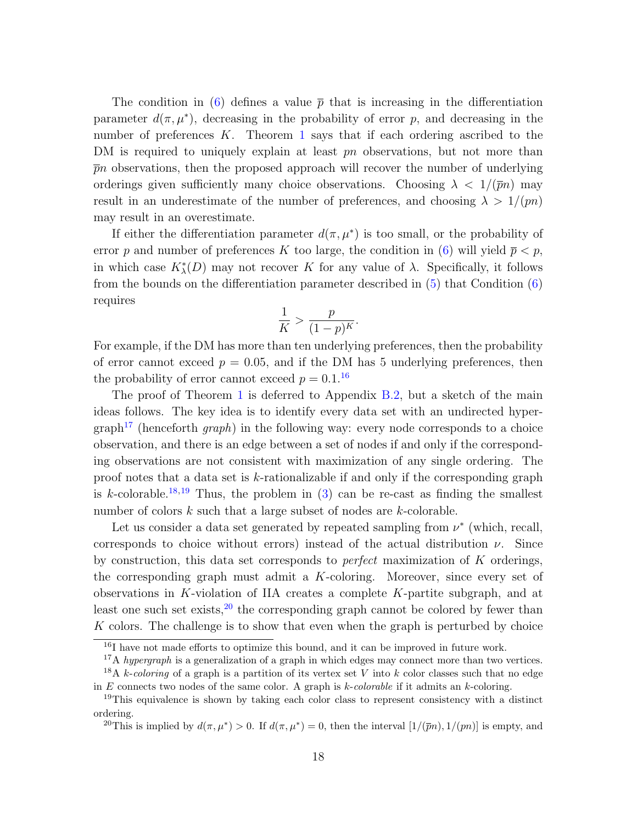The condition in [\(6\)](#page-16-0) defines a value  $\bar{p}$  that is increasing in the differentiation parameter  $d(\pi, \mu^*)$ , decreasing in the probability of error p, and decreasing in the number of preferences  $K$ . Theorem [1](#page-16-1) says that if each ordering ascribed to the DM is required to uniquely explain at least pn observations, but not more than  $\bar{p}n$  observations, then the proposed approach will recover the number of underlying orderings given sufficiently many choice observations. Choosing  $\lambda < 1/(\bar{p}n)$  may result in an underestimate of the number of preferences, and choosing  $\lambda > 1/(pn)$ may result in an overestimate.

If either the differentiation parameter  $d(\pi, \mu^*)$  is too small, or the probability of error p and number of preferences K too large, the condition in [\(6\)](#page-16-0) will yield  $\bar{p} < p$ , in which case  $K^*_{\lambda}(D)$  may not recover K for any value of  $\lambda$ . Specifically, it follows from the bounds on the differentiation parameter described in [\(5\)](#page-15-1) that Condition [\(6\)](#page-16-0) requires

$$
\frac{1}{K} > \frac{p}{(1-p)^K}
$$

.

For example, if the DM has more than ten underlying preferences, then the probability of error cannot exceed  $p = 0.05$ , and if the DM has 5 underlying preferences, then the probability of error cannot exceed  $p = 0.1$ .<sup>[16](#page-17-0)</sup>

The proof of Theorem [1](#page-16-1) is deferred to Appendix [B.2,](#page-37-0) but a sketch of the main ideas follows. The key idea is to identify every data set with an undirected hyper- $graph<sup>17</sup>$  $graph<sup>17</sup>$  $graph<sup>17</sup>$  (henceforth *graph*) in the following way: every node corresponds to a choice observation, and there is an edge between a set of nodes if and only if the corresponding observations are not consistent with maximization of any single ordering. The proof notes that a data set is k-rationalizable if and only if the corresponding graph is k-colorable.<sup>[18](#page-17-2),[19](#page-17-3)</sup> Thus, the problem in  $(3)$  can be re-cast as finding the smallest number of colors k such that a large subset of nodes are k-colorable.

Let us consider a data set generated by repeated sampling from  $\nu^*$  (which, recall, corresponds to choice without errors) instead of the actual distribution  $\nu$ . Since by construction, this data set corresponds to *perfect* maximization of  $K$  orderings, the corresponding graph must admit a K-coloring. Moreover, since every set of observations in K-violation of IIA creates a complete  $K$ -partite subgraph, and at least one such set exists, $20$  the corresponding graph cannot be colored by fewer than K colors. The challenge is to show that even when the graph is perturbed by choice

<span id="page-17-0"></span><sup>&</sup>lt;sup>16</sup>I have not made efforts to optimize this bound, and it can be improved in future work.

<span id="page-17-2"></span><span id="page-17-1"></span><sup>&</sup>lt;sup>17</sup>A hypergraph is a generalization of a graph in which edges may connect more than two vertices.

<sup>&</sup>lt;sup>18</sup>A k-coloring of a graph is a partition of its vertex set V into k color classes such that no edge in E connects two nodes of the same color. A graph is  $k$ -colorable if it admits an  $k$ -coloring.

<span id="page-17-3"></span><sup>&</sup>lt;sup>19</sup>This equivalence is shown by taking each color class to represent consistency with a distinct ordering.

<span id="page-17-4"></span><sup>&</sup>lt;sup>20</sup>This is implied by  $d(\pi, \mu^*) > 0$ . If  $d(\pi, \mu^*) = 0$ , then the interval  $[1/(\overline{p}n), 1/(pn)]$  is empty, and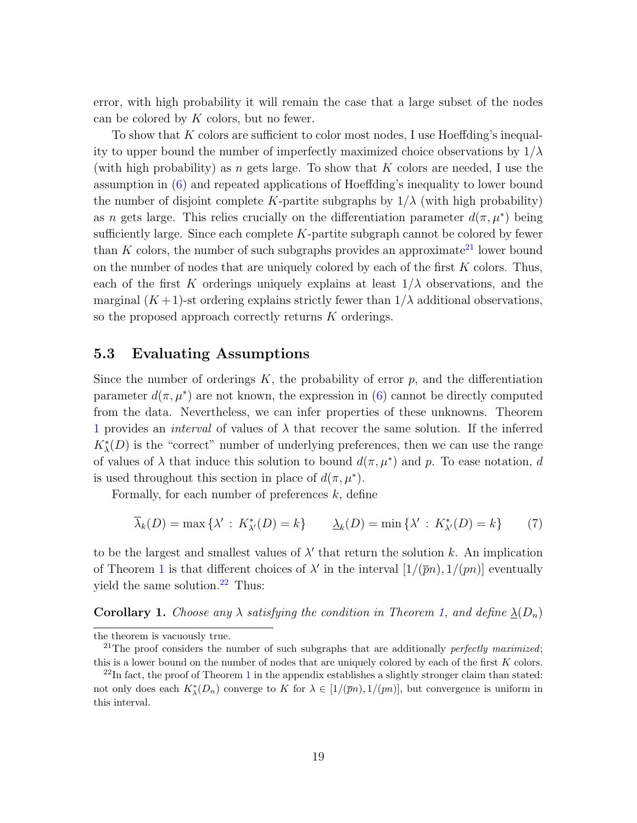error, with high probability it will remain the case that a large subset of the nodes can be colored by  $K$  colors, but no fewer.

To show that K colors are sufficient to color most nodes, I use Hoeffding's inequality to upper bound the number of imperfectly maximized choice observations by  $1/\lambda$ (with high probability) as n gets large. To show that  $K$  colors are needed, I use the assumption in [\(6\)](#page-16-0) and repeated applications of Hoeffding's inequality to lower bound the number of disjoint complete K-partite subgraphs by  $1/\lambda$  (with high probability) as n gets large. This relies crucially on the differentiation parameter  $d(\pi, \mu^*)$  being sufficiently large. Since each complete  $K$ -partite subgraph cannot be colored by fewer than  $K$  colors, the number of such subgraphs provides an approximate<sup>[21](#page-18-1)</sup> lower bound on the number of nodes that are uniquely colored by each of the first  $K$  colors. Thus, each of the first K orderings uniquely explains at least  $1/\lambda$  observations, and the marginal  $(K+1)$ -st ordering explains strictly fewer than  $1/\lambda$  additional observations, so the proposed approach correctly returns  $K$  orderings.

#### <span id="page-18-4"></span>5.3 Evaluating Assumptions

Since the number of orderings  $K$ , the probability of error  $p$ , and the differentiation parameter  $d(\pi, \mu^*)$  are not known, the expression in [\(6\)](#page-16-0) cannot be directly computed from the data. Nevertheless, we can infer properties of these unknowns. Theorem [1](#page-16-1) provides an *interval* of values of  $\lambda$  that recover the same solution. If the inferred  $K^*_{\lambda}(D)$  is the "correct" number of underlying preferences, then we can use the range of values of  $\lambda$  that induce this solution to bound  $d(\pi, \mu^*)$  and p. To ease notation, d is used throughout this section in place of  $d(\pi, \mu^*)$ .

Formally, for each number of preferences  $k$ , define

<span id="page-18-3"></span>
$$
\overline{\lambda}_k(D) = \max\left\{ \lambda' : K^*_{\lambda'}(D) = k \right\} \qquad \underline{\lambda}_k(D) = \min\left\{ \lambda' : K^*_{\lambda'}(D) = k \right\} \tag{7}
$$

to be the largest and smallest values of  $\lambda'$  that return the solution k. An implication of Theorem [1](#page-16-1) is that different choices of  $\lambda'$  in the interval  $[1/(\bar{p}n), 1/(pn)]$  eventually yield the same solution. $^{22}$  $^{22}$  $^{22}$  Thus:

<span id="page-18-0"></span>**Corollary 1.** Choose any  $\lambda$  satisfying the condition in Theorem [1,](#page-16-1) and define  $\lambda(D_n)$ 

the theorem is vacuously true.

<span id="page-18-1"></span><sup>&</sup>lt;sup>21</sup>The proof considers the number of such subgraphs that are additionally *perfectly maximized*; this is a lower bound on the number of nodes that are uniquely colored by each of the first  $K$  colors.

<span id="page-18-2"></span> $^{22}$ In fact, the proof of Theorem [1](#page-16-1) in the appendix establishes a slightly stronger claim than stated: not only does each  $K^*_{\lambda}(D_n)$  converge to K for  $\lambda \in [1/(\overline{p}n), 1/(pn)]$ , but convergence is uniform in this interval.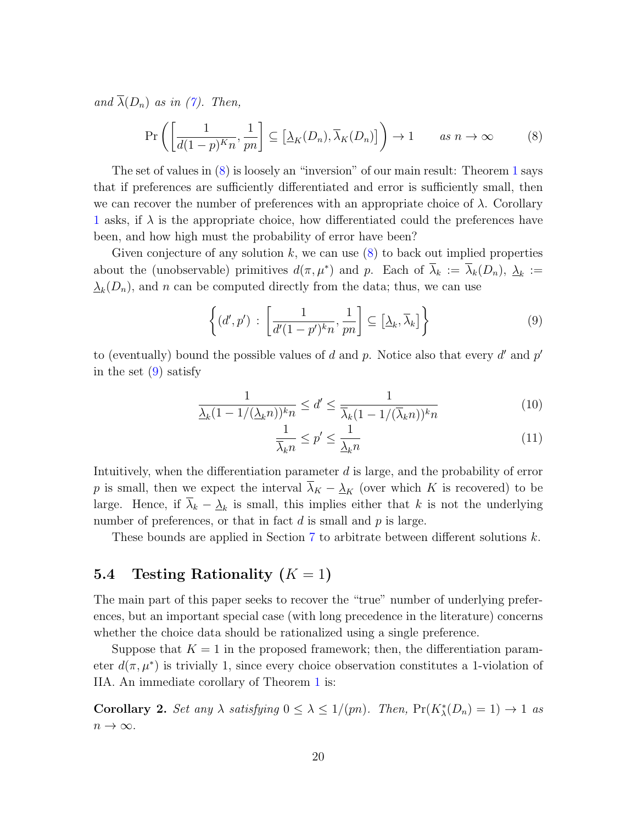and  $\overline{\lambda}(D_n)$  as in [\(7\)](#page-18-3). Then,

<span id="page-19-1"></span>
$$
\Pr\left(\left[\frac{1}{d(1-p)^K n}, \frac{1}{pn}\right] \subseteq \left[\underline{\lambda}_K(D_n), \overline{\lambda}_K(D_n)\right]\right) \to 1 \qquad \text{as } n \to \infty \tag{8}
$$

The set of values in [\(8\)](#page-19-1) is loosely an "inversion" of our main result: Theorem [1](#page-16-1) says that if preferences are sufficiently differentiated and error is sufficiently small, then we can recover the number of preferences with an appropriate choice of  $\lambda$ . Corollary [1](#page-18-0) asks, if  $\lambda$  is the appropriate choice, how differentiated could the preferences have been, and how high must the probability of error have been?

Given conjecture of any solution  $k$ , we can use  $(8)$  to back out implied properties about the (unobservable) primitives  $d(\pi,\mu^*)$  and p. Each of  $\bar{\lambda}_k := \bar{\lambda}_k(D_n), \underline{\lambda}_k :=$  $\Delta_k(D_n)$ , and n can be computed directly from the data; thus, we can use

<span id="page-19-2"></span>
$$
\left\{ (d', p') : \left[ \frac{1}{d'(1 - p')^{k} n}, \frac{1}{p n} \right] \subseteq \left[ \underline{\lambda}_{k}, \overline{\lambda}_{k} \right] \right\}
$$
(9)

to (eventually) bound the possible values of d and p. Notice also that every  $d'$  and  $p'$ in the set  $(9)$  satisfy

$$
\frac{1}{\lambda_k (1 - 1/(\lambda_k n))^k n} \le d' \le \frac{1}{\overline{\lambda}_k (1 - 1/(\overline{\lambda}_k n))^k n}
$$
(10)

<span id="page-19-4"></span><span id="page-19-3"></span>
$$
\frac{1}{\overline{\lambda}_k n} \le p' \le \frac{1}{\underline{\lambda}_k n} \tag{11}
$$

Intuitively, when the differentiation parameter d is large, and the probability of error p is small, then we expect the interval  $\overline{\lambda}_K - \underline{\lambda}_K$  (over which K is recovered) to be large. Hence, if  $\lambda_k - \underline{\lambda}_k$  is small, this implies either that k is not the underlying number of preferences, or that in fact  $d$  is small and  $p$  is large.

These bounds are applied in Section [7](#page-24-0) to arbitrate between different solutions k.

## <span id="page-19-0"></span>5.4 Testing Rationality  $(K = 1)$

The main part of this paper seeks to recover the "true" number of underlying preferences, but an important special case (with long precedence in the literature) concerns whether the choice data should be rationalized using a single preference.

Suppose that  $K = 1$  in the proposed framework; then, the differentiation parameter  $d(\pi, \mu^*)$  is trivially 1, since every choice observation constitutes a 1-violation of IIA. An immediate corollary of Theorem [1](#page-16-1) is:

**Corollary 2.** Set any  $\lambda$  satisfying  $0 \leq \lambda \leq 1/(pn)$ . Then,  $Pr(K_{\lambda}^{*}(D_{n}) = 1) \rightarrow 1$  as  $n \to \infty$ .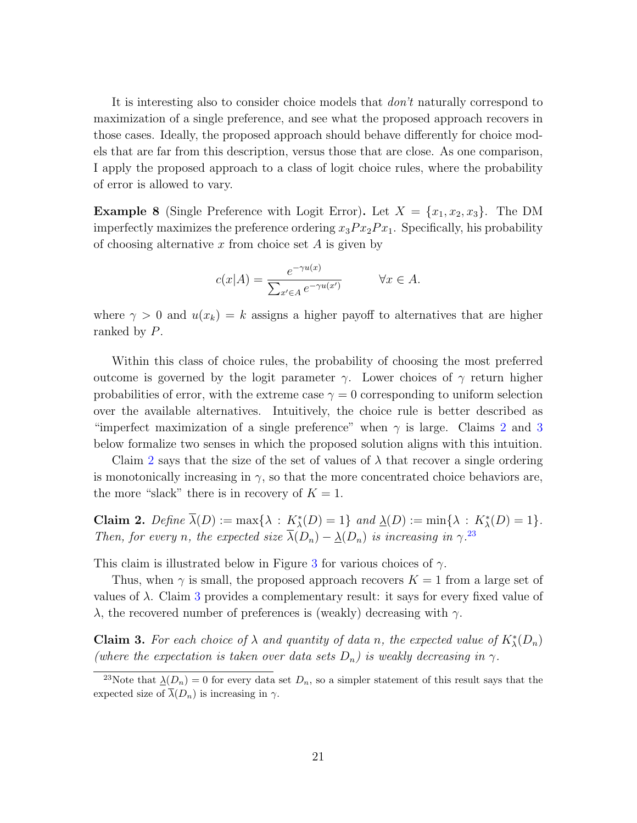It is interesting also to consider choice models that don't naturally correspond to maximization of a single preference, and see what the proposed approach recovers in those cases. Ideally, the proposed approach should behave differently for choice models that are far from this description, versus those that are close. As one comparison, I apply the proposed approach to a class of logit choice rules, where the probability of error is allowed to vary.

<span id="page-20-3"></span>**Example 8** (Single Preference with Logit Error). Let  $X = \{x_1, x_2, x_3\}$ . The DM imperfectly maximizes the preference ordering  $x_3Px_2Px_1$ . Specifically, his probability of choosing alternative  $x$  from choice set  $A$  is given by

$$
c(x|A) = \frac{e^{-\gamma u(x)}}{\sum_{x' \in A} e^{-\gamma u(x')}} \qquad \forall x \in A.
$$

where  $\gamma > 0$  and  $u(x_k) = k$  assigns a higher payoff to alternatives that are higher ranked by P.

Within this class of choice rules, the probability of choosing the most preferred outcome is governed by the logit parameter  $\gamma$ . Lower choices of  $\gamma$  return higher probabilities of error, with the extreme case  $\gamma = 0$  corresponding to uniform selection over the available alternatives. Intuitively, the choice rule is better described as "imperfect maximization of a single preference" when  $\gamma$  is large. Claims [2](#page-20-0) and [3](#page-20-1) below formalize two senses in which the proposed solution aligns with this intuition.

Claim [2](#page-20-0) says that the size of the set of values of  $\lambda$  that recover a single ordering is monotonically increasing in  $\gamma$ , so that the more concentrated choice behaviors are, the more "slack" there is in recovery of  $K = 1$ .

<span id="page-20-0"></span>Claim 2. Define  $\overline{\lambda}(D) := \max\{\lambda : K^*_{\lambda}(D) = 1\}$  and  $\underline{\lambda}(D) := \min\{\lambda : K^*_{\lambda}(D) = 1\}.$ Then, for every n, the expected size  $\overline{\lambda}(D_n) - \underline{\lambda}(D_n)$  is increasing in  $\gamma^{23}$  $\gamma^{23}$  $\gamma^{23}$ 

This claim is illustrated below in Figure [3](#page-21-0) for various choices of  $\gamma$ .

Thus, when  $\gamma$  is small, the proposed approach recovers  $K = 1$  from a large set of values of  $\lambda$ . Claim [3](#page-20-1) provides a complementary result: it says for every fixed value of λ, the recovered number of preferences is (weakly) decreasing with  $γ$ .

<span id="page-20-1"></span>**Claim 3.** For each choice of  $\lambda$  and quantity of data n, the expected value of  $K^*_{\lambda}(D_n)$ (where the expectation is taken over data sets  $D_n$ ) is weakly decreasing in  $\gamma$ .

<span id="page-20-2"></span><sup>&</sup>lt;sup>23</sup>Note that  $\underline{\lambda}(D_n) = 0$  for every data set  $D_n$ , so a simpler statement of this result says that the expected size of  $\overline{\lambda}(D_n)$  is increasing in  $\gamma$ .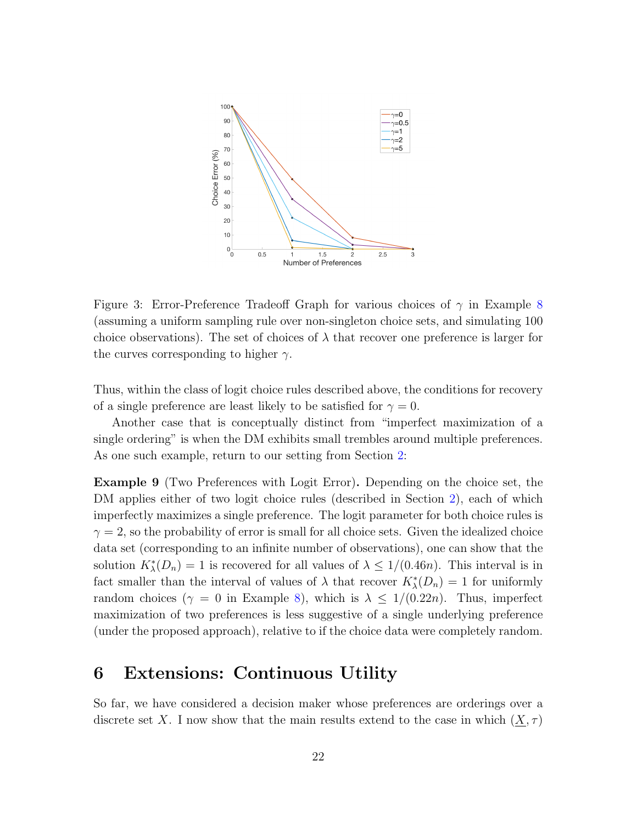

<span id="page-21-0"></span>Figure 3: Error-Preference Tradeoff Graph for various choices of  $\gamma$  in Example [8](#page-20-3) (assuming a uniform sampling rule over non-singleton choice sets, and simulating 100 choice observations). The set of choices of  $\lambda$  that recover one preference is larger for the curves corresponding to higher  $\gamma$ .

Thus, within the class of logit choice rules described above, the conditions for recovery of a single preference are least likely to be satisfied for  $\gamma = 0$ .

Another case that is conceptually distinct from "imperfect maximization of a single ordering" is when the DM exhibits small trembles around multiple preferences. As one such example, return to our setting from Section [2:](#page-4-0)

Example 9 (Two Preferences with Logit Error). Depending on the choice set, the DM applies either of two logit choice rules (described in Section [2\)](#page-4-0), each of which imperfectly maximizes a single preference. The logit parameter for both choice rules is  $\gamma = 2$ , so the probability of error is small for all choice sets. Given the idealized choice data set (corresponding to an infinite number of observations), one can show that the solution  $K_{\lambda}^{*}(D_n) = 1$  is recovered for all values of  $\lambda \leq 1/(0.46n)$ . This interval is in fact smaller than the interval of values of  $\lambda$  that recover  $K^*_{\lambda}(D_n) = 1$  for uniformly random choices ( $\gamma = 0$  in Example [8\)](#page-20-3), which is  $\lambda \leq 1/(0.22n)$ . Thus, imperfect maximization of two preferences is less suggestive of a single underlying preference (under the proposed approach), relative to if the choice data were completely random.

## <span id="page-21-1"></span>6 Extensions: Continuous Utility

So far, we have considered a decision maker whose preferences are orderings over a discrete set X. I now show that the main results extend to the case in which  $(X, \tau)$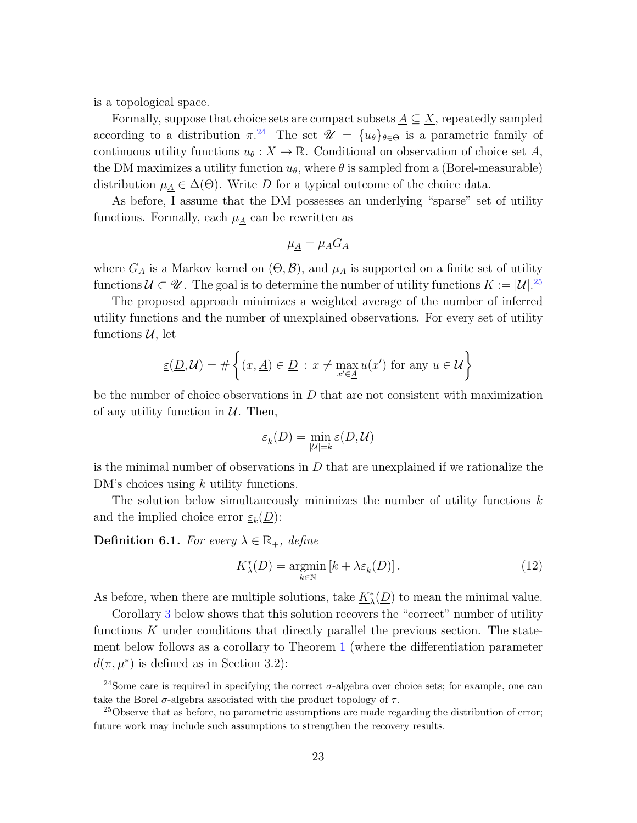is a topological space.

Formally, suppose that choice sets are compact subsets  $\underline{A} \subseteq \underline{X}$ , repeatedly sampled according to a distribution  $\pi^{24}$  $\pi^{24}$  $\pi^{24}$  The set  $\mathscr{U} = \{u_{\theta}\}_{\theta \in \Theta}$  is a parametric family of continuous utility functions  $u_{\theta} : \underline{X} \to \mathbb{R}$ . Conditional on observation of choice set  $\underline{A}$ , the DM maximizes a utility function  $u_{\theta}$ , where  $\theta$  is sampled from a (Borel-measurable) distribution  $\mu_A \in \Delta(\Theta)$ . Write  $\underline{D}$  for a typical outcome of the choice data.

As before, I assume that the DM possesses an underlying "sparse" set of utility functions. Formally, each  $\mu_A$  can be rewritten as

$$
\mu_{\underline{A}} = \mu_A G_A
$$

where  $G_A$  is a Markov kernel on  $(\Theta, \mathcal{B})$ , and  $\mu_A$  is supported on a finite set of utility functions  $\mathcal{U} \subset \mathcal{U}$ . The goal is to determine the number of utility functions  $K := |\mathcal{U}|^{25}$  $K := |\mathcal{U}|^{25}$  $K := |\mathcal{U}|^{25}$ 

The proposed approach minimizes a weighted average of the number of inferred utility functions and the number of unexplained observations. For every set of utility functions  $\mathcal{U}$ , let

$$
\underline{\varepsilon}(\underline{D},\mathcal{U}) = \#\left\{(x,\underline{A}) \in \underline{D} \, : \, x \neq \max_{x' \in \underline{A}} u(x') \text{ for any } u \in \mathcal{U}\right\}
$$

be the number of choice observations in  $D$  that are not consistent with maximization of any utility function in  $U$ . Then,

$$
\underline{\varepsilon}_k(\underline{D})=\min_{|\mathcal{U}|=k}\underline{\varepsilon}(\underline{D},\mathcal{U})
$$

is the minimal number of observations in  $D$  that are unexplained if we rationalize the DM's choices using k utility functions.

The solution below simultaneously minimizes the number of utility functions  $k$ and the implied choice error  $\underline{\varepsilon}_k(\underline{D})$ :

<span id="page-22-2"></span>**Definition 6.1.** For every  $\lambda \in \mathbb{R}_+$ , define

$$
\underline{K}_{\lambda}^{*}(\underline{D}) = \underset{k \in \mathbb{N}}{\operatorname{argmin}} \left[ k + \lambda_{\underline{\varepsilon}_{k}}(\underline{D}) \right]. \tag{12}
$$

As before, when there are multiple solutions, take  $K^*_{\lambda}$  $\chi(\underline{D})$  to mean the minimal value.

Corollary [3](#page-23-0) below shows that this solution recovers the "correct" number of utility functions  $K$  under conditions that directly parallel the previous section. The statement below follows as a corollary to Theorem [1](#page-16-1) (where the differentiation parameter  $d(\pi, \mu^*)$  is defined as in Section 3.2):

<span id="page-22-0"></span><sup>&</sup>lt;sup>24</sup>Some care is required in specifying the correct  $\sigma$ -algebra over choice sets; for example, one can take the Borel  $\sigma$ -algebra associated with the product topology of  $\tau$ .

<span id="page-22-1"></span><sup>&</sup>lt;sup>25</sup>Observe that as before, no parametric assumptions are made regarding the distribution of error; future work may include such assumptions to strengthen the recovery results.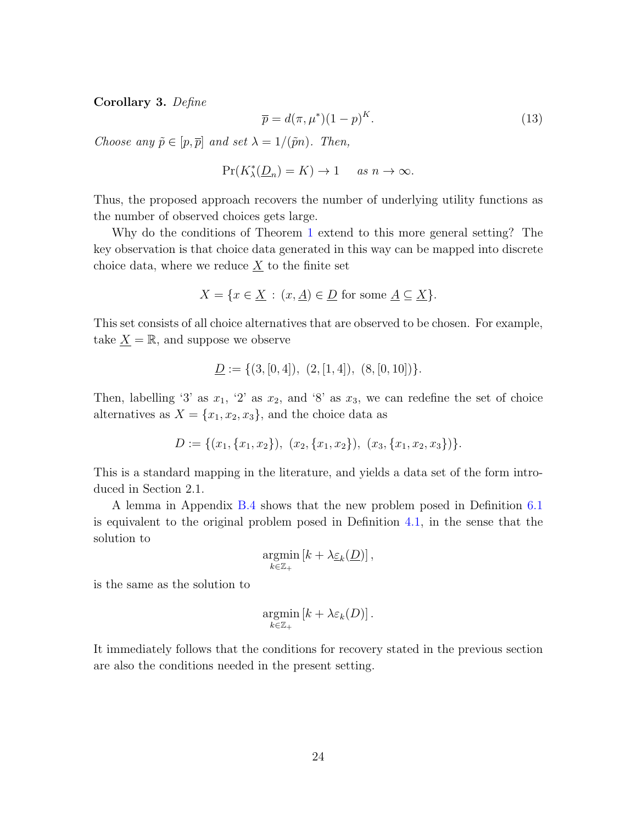<span id="page-23-0"></span>Corollary 3. Define

$$
\overline{p} = d(\pi, \mu^*)(1 - p)^K. \tag{13}
$$

Choose any  $\tilde{p} \in [p, \overline{p}]$  and set  $\lambda = 1/(\tilde{p}n)$ . Then,

$$
\Pr(K_\lambda^*(\underline{D}_n) = K) \to 1 \quad \text{ as } n \to \infty.
$$

Thus, the proposed approach recovers the number of underlying utility functions as the number of observed choices gets large.

Why do the conditions of Theorem [1](#page-16-1) extend to this more general setting? The key observation is that choice data generated in this way can be mapped into discrete choice data, where we reduce  $\underline{X}$  to the finite set

$$
X = \{ x \in \underline{X} : (x, \underline{A}) \in \underline{D} \text{ for some } \underline{A} \subseteq \underline{X} \}.
$$

This set consists of all choice alternatives that are observed to be chosen. For example, take  $\underline{X} = \mathbb{R}$ , and suppose we observe

$$
\underline{D} := \{ (3, [0, 4]), (2, [1, 4]), (8, [0, 10]) \}.
$$

Then, labelling '3' as  $x_1$ , '2' as  $x_2$ , and '8' as  $x_3$ , we can redefine the set of choice alternatives as  $X = \{x_1, x_2, x_3\}$ , and the choice data as

$$
D := \{(x_1, \{x_1, x_2\}), (x_2, \{x_1, x_2\}), (x_3, \{x_1, x_2, x_3\})\}.
$$

This is a standard mapping in the literature, and yields a data set of the form introduced in Section 2.1.

A lemma in Appendix [B.4](#page-40-0) shows that the new problem posed in Definition [6.1](#page-22-2) is equivalent to the original problem posed in Definition [4.1,](#page-10-3) in the sense that the solution to

$$
\underset{k\in\mathbb{Z}_+}{\operatorname{argmin}} \left[ k + \lambda \underline{\varepsilon}_k(\underline{D}) \right],
$$

is the same as the solution to

$$
\underset{k\in\mathbb{Z}_+}{\operatorname{argmin}} \left[ k + \lambda \varepsilon_k(D) \right].
$$

It immediately follows that the conditions for recovery stated in the previous section are also the conditions needed in the present setting.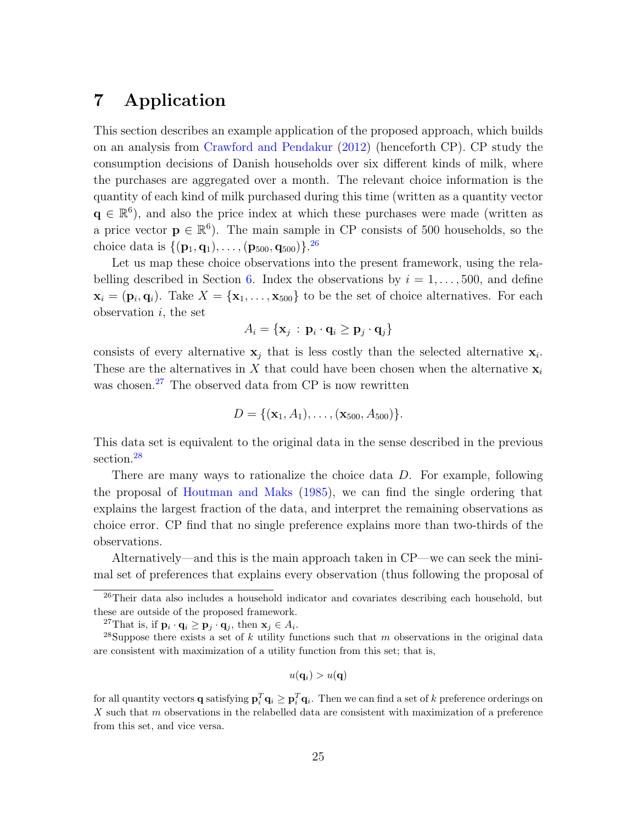## <span id="page-24-0"></span>7 Application

This section describes an example application of the proposed approach, which builds on an analysis from [Crawford and Pendakur](#page-47-1) [\(2012\)](#page-47-1) (henceforth CP). CP study the consumption decisions of Danish households over six different kinds of milk, where the purchases are aggregated over a month. The relevant choice information is the quantity of each kind of milk purchased during this time (written as a quantity vector  $q \in \mathbb{R}^6$ ), and also the price index at which these purchases were made (written as a price vector  $\mathbf{p} \in \mathbb{R}^6$ ). The main sample in CP consists of 500 households, so the choice data is  $\{(\mathbf{p}_1, \mathbf{q}_1), \ldots, (\mathbf{p}_{500}, \mathbf{q}_{500})\}.^{26}$  $\{(\mathbf{p}_1, \mathbf{q}_1), \ldots, (\mathbf{p}_{500}, \mathbf{q}_{500})\}.^{26}$  $\{(\mathbf{p}_1, \mathbf{q}_1), \ldots, (\mathbf{p}_{500}, \mathbf{q}_{500})\}.^{26}$ 

Let us map these choice observations into the present framework, using the rela-belling described in Section [6.](#page-21-1) Index the observations by  $i = 1, \ldots, 500$ , and define  $\mathbf{x}_i = (\mathbf{p}_i, \mathbf{q}_i)$ . Take  $X = {\mathbf{x}_1, \dots, \mathbf{x}_{500}}$  to be the set of choice alternatives. For each observation  $i$ , the set

$$
A_i = \{ \mathbf{x}_j : \mathbf{p}_i \cdot \mathbf{q}_i \ge \mathbf{p}_j \cdot \mathbf{q}_j \}
$$

consists of every alternative  $x_j$  that is less costly than the selected alternative  $x_i$ . These are the alternatives in X that could have been chosen when the alternative  $x_i$ was chosen.<sup>[27](#page-24-2)</sup> The observed data from CP is now rewritten

$$
D = \{(\mathbf{x}_1, A_1), \ldots, (\mathbf{x}_{500}, A_{500})\}.
$$

This data set is equivalent to the original data in the sense described in the previous section.<sup>[28](#page-24-3)</sup>

There are many ways to rationalize the choice data D. For example, following the proposal of [Houtman and Maks](#page-48-0) [\(1985\)](#page-48-0), we can find the single ordering that explains the largest fraction of the data, and interpret the remaining observations as choice error. CP find that no single preference explains more than two-thirds of the observations.

Alternatively—and this is the main approach taken in CP—we can seek the minimal set of preferences that explains every observation (thus following the proposal of

<span id="page-24-3"></span><span id="page-24-2"></span><sup>27</sup>That is, if  $\mathbf{p}_i \cdot \mathbf{q}_i \ge \mathbf{p}_j \cdot \mathbf{q}_j$ , then  $\mathbf{x}_j \in A_i$ .

$$
u(\mathbf{q}_i) > u(\mathbf{q})
$$

for all quantity vectors **q** satisfying  $\mathbf{p}_i^T \mathbf{q}_i \geq \mathbf{p}_i^T \mathbf{q}_i$ . Then we can find a set of k preference orderings on  $X$  such that  $m$  observations in the relabelled data are consistent with maximization of a preference from this set, and vice versa.

<span id="page-24-1"></span> $26$ Their data also includes a household indicator and covariates describing each household, but these are outside of the proposed framework.

<sup>&</sup>lt;sup>28</sup>Suppose there exists a set of k utility functions such that m observations in the original data are consistent with maximization of a utility function from this set; that is,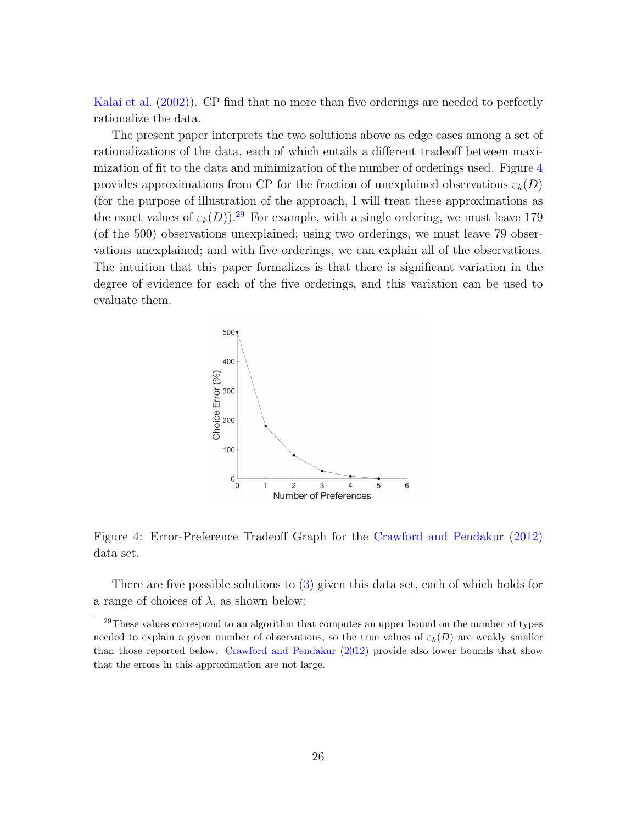[Kalai et al.](#page-48-1) [\(2002\)](#page-48-1)). CP find that no more than five orderings are needed to perfectly rationalize the data.

The present paper interprets the two solutions above as edge cases among a set of rationalizations of the data, each of which entails a different tradeoff between maximization of fit to the data and minimization of the number of orderings used. Figure [4](#page-25-0) provides approximations from CP for the fraction of unexplained observations  $\varepsilon_k(D)$ (for the purpose of illustration of the approach, I will treat these approximations as the exact values of  $\varepsilon_k(D)$ ).<sup>[29](#page-25-1)</sup> For example, with a single ordering, we must leave 179 (of the 500) observations unexplained; using two orderings, we must leave 79 observations unexplained; and with five orderings, we can explain all of the observations. The intuition that this paper formalizes is that there is significant variation in the degree of evidence for each of the five orderings, and this variation can be used to evaluate them.



<span id="page-25-0"></span>Figure 4: Error-Preference Tradeoff Graph for the [Crawford and Pendakur](#page-47-1) [\(2012\)](#page-47-1) data set.

There are five possible solutions to [\(3\)](#page-10-2) given this data set, each of which holds for a range of choices of  $\lambda$ , as shown below:

<span id="page-25-1"></span><sup>&</sup>lt;sup>29</sup>These values correspond to an algorithm that computes an upper bound on the number of types needed to explain a given number of observations, so the true values of  $\varepsilon_k(D)$  are weakly smaller than those reported below. [Crawford and Pendakur](#page-47-1) [\(2012\)](#page-47-1) provide also lower bounds that show that the errors in this approximation are not large.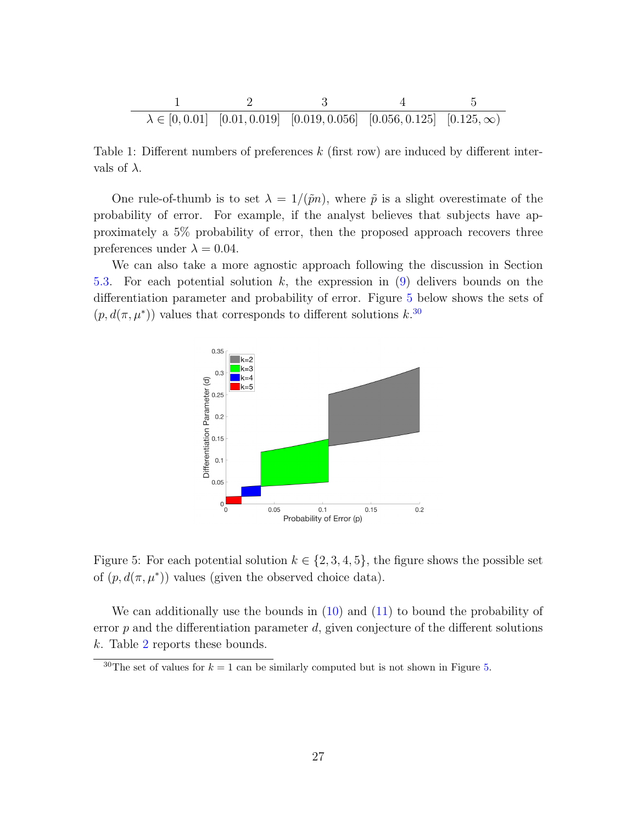$$
\begin{array}{c|ccccc}\n & 1 & 2 & 3 & 4 & 5 \\
\hline\n\lambda \in [0, 0.01] & [0.01, 0.019] & [0.019, 0.056] & [0.056, 0.125] & [0.125, \infty)\n\end{array}
$$

Table 1: Different numbers of preferences  $k$  (first row) are induced by different intervals of  $\lambda$ .

One rule-of-thumb is to set  $\lambda = 1/(\tilde{p}n)$ , where  $\tilde{p}$  is a slight overestimate of the probability of error. For example, if the analyst believes that subjects have approximately a 5% probability of error, then the proposed approach recovers three preferences under  $\lambda = 0.04$ .

We can also take a more agnostic approach following the discussion in Section [5.3.](#page-18-4) For each potential solution k, the expression in [\(9\)](#page-19-2) delivers bounds on the differentiation parameter and probability of error. Figure [5](#page-26-0) below shows the sets of  $(p, d(\pi, \mu^*))$  values that corresponds to different solutions k.<sup>[30](#page-26-1)</sup>



<span id="page-26-0"></span>Figure 5: For each potential solution  $k \in \{2, 3, 4, 5\}$ , the figure shows the possible set of  $(p, d(\pi, \mu^*))$  values (given the observed choice data).

We can additionally use the bounds in  $(10)$  and  $(11)$  to bound the probability of error  $p$  and the differentiation parameter  $d$ , given conjecture of the different solutions k. Table [2](#page-27-1) reports these bounds.

<span id="page-26-1"></span><sup>&</sup>lt;sup>30</sup>The set of values for  $k = 1$  can be similarly computed but is not shown in Figure [5.](#page-26-0)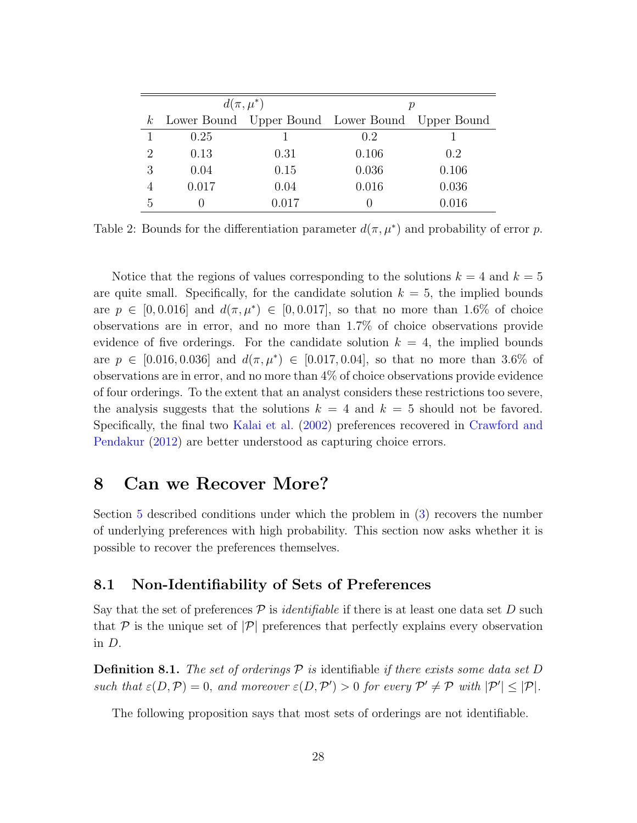|                             |       | $d(\pi,\mu^*)$                                      |       |       |
|-----------------------------|-------|-----------------------------------------------------|-------|-------|
|                             |       | $k$ Lower Bound Upper Bound Lower Bound Upper Bound |       |       |
|                             | 0.25  |                                                     | 0.2   |       |
| $\mathcal{D}_{\mathcal{A}}$ | 0.13  | 0.31                                                | 0.106 | 0.2   |
| З                           | 0.04  | 0.15                                                | 0.036 | 0.106 |
|                             | 0.017 | 0.04                                                | 0.016 | 0.036 |
|                             |       | 0.017                                               |       | 0.016 |

<span id="page-27-1"></span>Table 2: Bounds for the differentiation parameter  $d(\pi, \mu^*)$  and probability of error p.

Notice that the regions of values corresponding to the solutions  $k = 4$  and  $k = 5$ are quite small. Specifically, for the candidate solution  $k = 5$ , the implied bounds are  $p \in [0, 0.016]$  and  $d(\pi, \mu^*) \in [0, 0.017]$ , so that no more than 1.6% of choice observations are in error, and no more than 1.7% of choice observations provide evidence of five orderings. For the candidate solution  $k = 4$ , the implied bounds are  $p \in [0.016, 0.036]$  and  $d(\pi, \mu^*) \in [0.017, 0.04]$ , so that no more than 3.6% of observations are in error, and no more than 4% of choice observations provide evidence of four orderings. To the extent that an analyst considers these restrictions too severe, the analysis suggests that the solutions  $k = 4$  and  $k = 5$  should not be favored. Specifically, the final two [Kalai et al.](#page-48-1) [\(2002\)](#page-48-1) preferences recovered in [Crawford and](#page-47-1) [Pendakur](#page-47-1) [\(2012\)](#page-47-1) are better understood as capturing choice errors.

## <span id="page-27-0"></span>8 Can we Recover More?

Section [5](#page-12-0) described conditions under which the problem in [\(3\)](#page-10-2) recovers the number of underlying preferences with high probability. This section now asks whether it is possible to recover the preferences themselves.

#### <span id="page-27-2"></span>8.1 Non-Identifiability of Sets of Preferences

Say that the set of preferences  $P$  is *identifiable* if there is at least one data set D such that  $\mathcal P$  is the unique set of  $|\mathcal P|$  preferences that perfectly explains every observation in D.

**Definition 8.1.** The set of orderings  $\mathcal P$  is identifiable if there exists some data set D such that  $\varepsilon(D, \mathcal{P}) = 0$ , and moreover  $\varepsilon(D, \mathcal{P}') > 0$  for every  $\mathcal{P}' \neq \mathcal{P}$  with  $|\mathcal{P}'| \leq |\mathcal{P}|$ .

The following proposition says that most sets of orderings are not identifiable.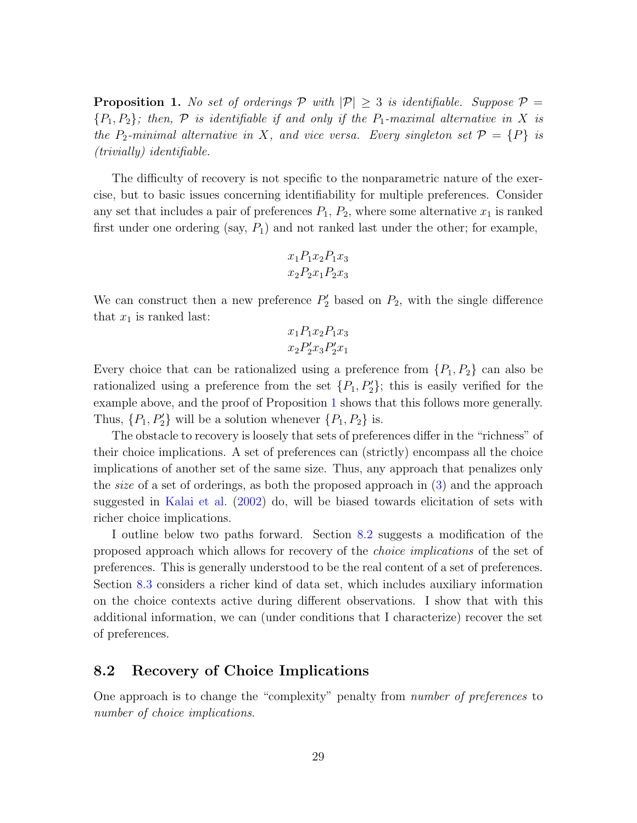<span id="page-28-1"></span>**Proposition 1.** No set of orderings  $P$  with  $|P| \geq 3$  is identifiable. Suppose  $P =$  ${P_1, P_2}$ ; then,  $P$  is identifiable if and only if the  $P_1$ -maximal alternative in X is the P<sub>2</sub>-minimal alternative in X, and vice versa. Every singleton set  $\mathcal{P} = \{P\}$  is (trivially) identifiable.

The difficulty of recovery is not specific to the nonparametric nature of the exercise, but to basic issues concerning identifiability for multiple preferences. Consider any set that includes a pair of preferences  $P_1$ ,  $P_2$ , where some alternative  $x_1$  is ranked first under one ordering (say,  $P_1$ ) and not ranked last under the other; for example,

$$
x_1 P_1 x_2 P_1 x_3
$$

$$
x_2 P_2 x_1 P_2 x_3
$$

We can construct then a new preference  $P'_2$  based on  $P_2$ , with the single difference that  $x_1$  is ranked last:

$$
x_1 P_1 x_2 P_1 x_3 x_2 P'_2 x_3 P'_2 x_1
$$

Every choice that can be rationalized using a preference from  $\{P_1, P_2\}$  can also be rationalized using a preference from the set  $\{P_1, P_2'\}$ ; this is easily verified for the example above, and the proof of Proposition [1](#page-28-1) shows that this follows more generally. Thus,  $\{P_1, P_2'\}$  will be a solution whenever  $\{P_1, P_2\}$  is.

The obstacle to recovery is loosely that sets of preferences differ in the "richness" of their choice implications. A set of preferences can (strictly) encompass all the choice implications of another set of the same size. Thus, any approach that penalizes only the size of a set of orderings, as both the proposed approach in [\(3\)](#page-10-2) and the approach suggested in [Kalai et al.](#page-48-1) [\(2002\)](#page-48-1) do, will be biased towards elicitation of sets with richer choice implications.

I outline below two paths forward. Section [8.2](#page-28-0) suggests a modification of the proposed approach which allows for recovery of the choice implications of the set of preferences. This is generally understood to be the real content of a set of preferences. Section [8.3](#page-30-0) considers a richer kind of data set, which includes auxiliary information on the choice contexts active during different observations. I show that with this additional information, we can (under conditions that I characterize) recover the set of preferences.

## <span id="page-28-0"></span>8.2 Recovery of Choice Implications

One approach is to change the "complexity" penalty from number of preferences to number of choice implications.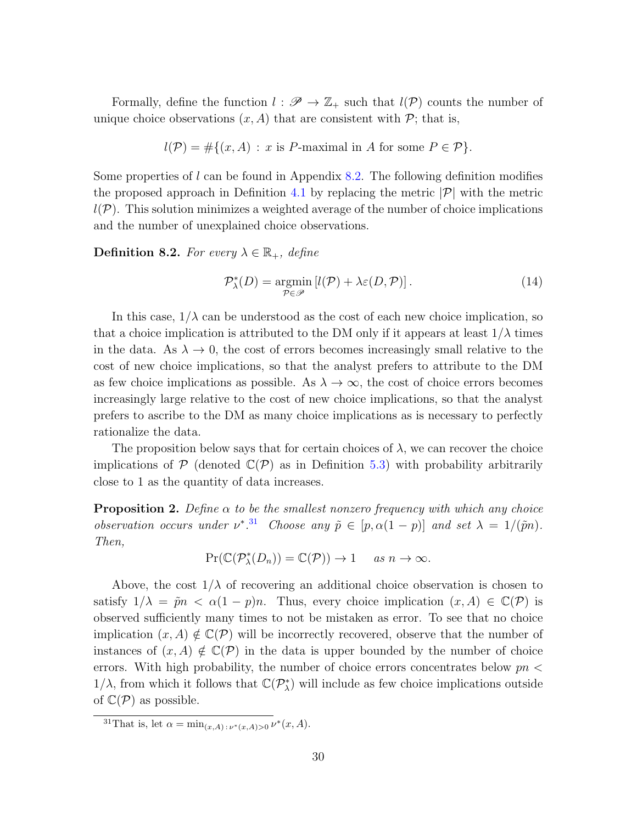Formally, define the function  $l : \mathscr{P} \to \mathbb{Z}_+$  such that  $l(\mathcal{P})$  counts the number of unique choice observations  $(x, A)$  that are consistent with  $P$ ; that is,

$$
l(\mathcal{P}) = #\{(x, A) : x \text{ is } P\text{-maximal in } A \text{ for some } P \in \mathcal{P}\}.
$$

Some properties of  $l$  can be found in Appendix [8.2.](#page-28-0) The following definition modifies the proposed approach in Definition [4.1](#page-10-3) by replacing the metric  $|\mathcal{P}|$  with the metric  $l(\mathcal{P})$ . This solution minimizes a weighted average of the number of choice implications and the number of unexplained choice observations.

**Definition 8.2.** For every  $\lambda \in \mathbb{R}_+$ , define

<span id="page-29-2"></span>
$$
\mathcal{P}_{\lambda}^*(D) = \underset{\mathcal{P} \in \mathcal{P}}{\operatorname{argmin}} \left[ l(\mathcal{P}) + \lambda \varepsilon(D, \mathcal{P}) \right]. \tag{14}
$$

In this case,  $1/\lambda$  can be understood as the cost of each new choice implication, so that a choice implication is attributed to the DM only if it appears at least  $1/\lambda$  times in the data. As  $\lambda \to 0$ , the cost of errors becomes increasingly small relative to the cost of new choice implications, so that the analyst prefers to attribute to the DM as few choice implications as possible. As  $\lambda \to \infty$ , the cost of choice errors becomes increasingly large relative to the cost of new choice implications, so that the analyst prefers to ascribe to the DM as many choice implications as is necessary to perfectly rationalize the data.

The proposition below says that for certain choices of  $\lambda$ , we can recover the choice implications of  $P$  (denoted  $\mathbb{C}(P)$  as in Definition [5.3\)](#page-15-2) with probability arbitrarily close to 1 as the quantity of data increases.

<span id="page-29-0"></span>**Proposition 2.** Define  $\alpha$  to be the smallest nonzero frequency with which any choice observation occurs under  $\nu^*$ .<sup>[31](#page-29-1)</sup> Choose any  $\tilde{p} \in [p, \alpha(1-p)]$  and set  $\lambda = 1/(\tilde{p}n)$ . Then,

$$
\Pr(\mathbb{C}(\mathcal{P}_{\lambda}^*(D_n)) = \mathbb{C}(\mathcal{P})) \to 1 \quad \text{as } n \to \infty.
$$

Above, the cost  $1/\lambda$  of recovering an additional choice observation is chosen to satisfy  $1/\lambda = \tilde{p}n < \alpha(1-p)n$ . Thus, every choice implication  $(x, A) \in \mathbb{C}(\mathcal{P})$  is observed sufficiently many times to not be mistaken as error. To see that no choice implication  $(x, A) \notin \mathbb{C}(\mathcal{P})$  will be incorrectly recovered, observe that the number of instances of  $(x, A) \notin \mathbb{C}(\mathcal{P})$  in the data is upper bounded by the number of choice errors. With high probability, the number of choice errors concentrates below  $pn <$ 1/ $\lambda$ , from which it follows that  $\mathbb{C}(\mathcal{P}_{\lambda}^{*})$  will include as few choice implications outside of  $\mathbb{C}(\mathcal{P})$  as possible.

<span id="page-29-1"></span><sup>&</sup>lt;sup>31</sup>That is, let  $\alpha = \min_{(x,A): \nu^*(x,A) > 0} \nu^*(x,A)$ .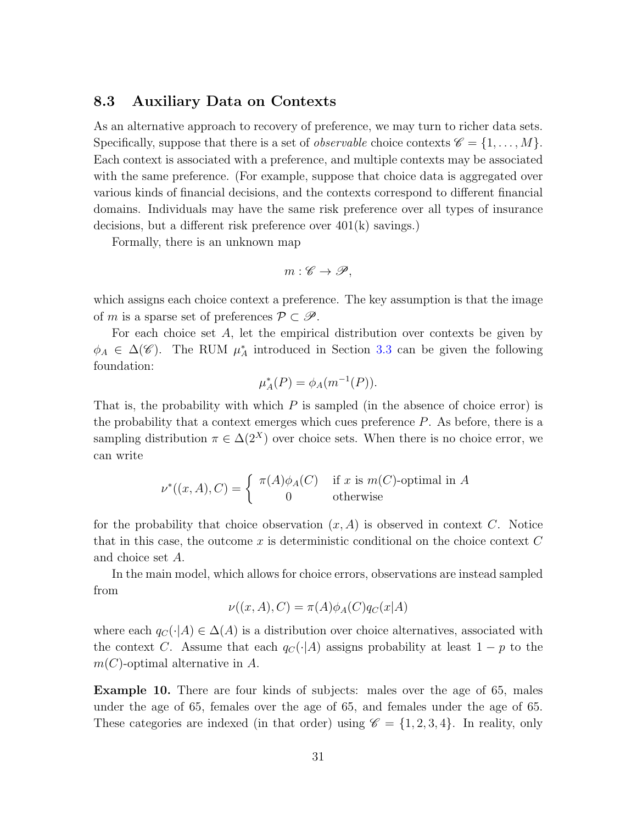#### <span id="page-30-0"></span>8.3 Auxiliary Data on Contexts

As an alternative approach to recovery of preference, we may turn to richer data sets. Specifically, suppose that there is a set of *observable* choice contexts  $\mathscr{C} = \{1, \ldots, M\}$ . Each context is associated with a preference, and multiple contexts may be associated with the same preference. (For example, suppose that choice data is aggregated over various kinds of financial decisions, and the contexts correspond to different financial domains. Individuals may have the same risk preference over all types of insurance decisions, but a different risk preference over 401(k) savings.)

Formally, there is an unknown map

$$
m:\mathscr{C}\to\mathscr{P},
$$

which assigns each choice context a preference. The key assumption is that the image of m is a sparse set of preferences  $\mathcal{P} \subset \mathcal{P}$ .

For each choice set A, let the empirical distribution over contexts be given by  $\phi_A \in \Delta(\mathscr{C})$ . The RUM  $\mu_A^*$  introduced in Section [3.3](#page-8-1) can be given the following foundation:

$$
\mu_A^*(P) = \phi_A(m^{-1}(P)).
$$

That is, the probability with which  $P$  is sampled (in the absence of choice error) is the probability that a context emerges which cues preference  $P$ . As before, there is a sampling distribution  $\pi \in \Delta(2^X)$  over choice sets. When there is no choice error, we can write

$$
\nu^*((x, A), C) = \begin{cases} \pi(A)\phi_A(C) & \text{if } x \text{ is } m(C)\text{-optimal in } A \\ 0 & \text{otherwise} \end{cases}
$$

for the probability that choice observation  $(x, A)$  is observed in context C. Notice that in this case, the outcome x is deterministic conditional on the choice context  $C$ and choice set A.

In the main model, which allows for choice errors, observations are instead sampled from

$$
\nu((x, A), C) = \pi(A)\phi_A(C)q_C(x|A)
$$

where each  $q_C(\cdot|A) \in \Delta(A)$  is a distribution over choice alternatives, associated with the context C. Assume that each  $q_C(\cdot|A)$  assigns probability at least  $1 - p$  to the  $m(C)$ -optimal alternative in A.

Example 10. There are four kinds of subjects: males over the age of 65, males under the age of 65, females over the age of 65, and females under the age of 65. These categories are indexed (in that order) using  $\mathscr{C} = \{1, 2, 3, 4\}$ . In reality, only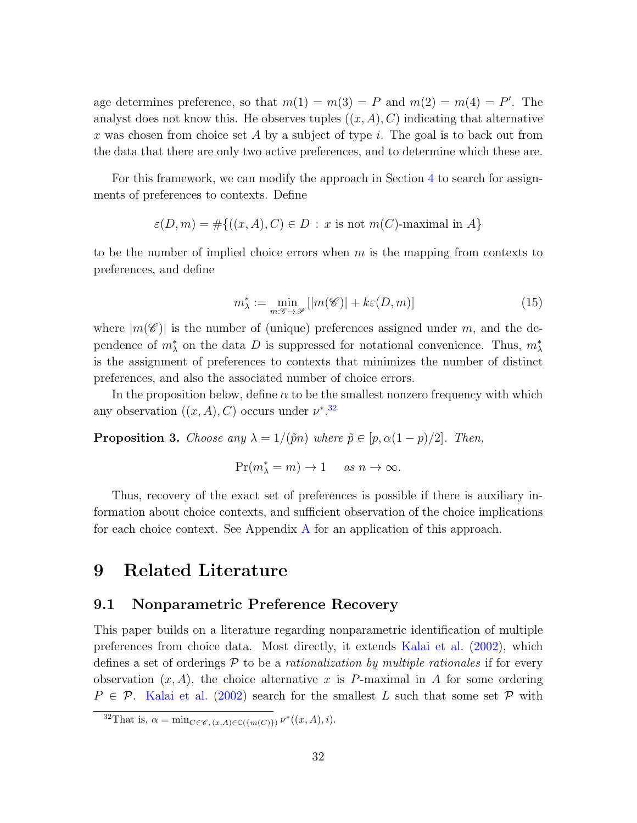age determines preference, so that  $m(1) = m(3) = P$  and  $m(2) = m(4) = P'$ . The analyst does not know this. He observes tuples  $((x, A), C)$  indicating that alternative  $x$  was chosen from choice set  $A$  by a subject of type  $i$ . The goal is to back out from the data that there are only two active preferences, and to determine which these are.

For this framework, we can modify the approach in Section [4](#page-10-0) to search for assignments of preferences to contexts. Define

$$
\varepsilon(D,m) = \#\{((x,A),C) \in D : x \text{ is not } m(C)\text{-maximal in } A\}
$$

to be the number of implied choice errors when  $m$  is the mapping from contexts to preferences, and define

<span id="page-31-1"></span>
$$
m_{\lambda}^* := \min_{m:\mathscr{C}\to\mathscr{P}}[|m(\mathscr{C})| + k\epsilon(D,m)]\tag{15}
$$

where  $|m(\mathscr{C})|$  is the number of (unique) preferences assigned under m, and the dependence of  $m^*_{\lambda}$  on the data D is suppressed for notational convenience. Thus,  $m^*_{\lambda}$ is the assignment of preferences to contexts that minimizes the number of distinct preferences, and also the associated number of choice errors.

In the proposition below, define  $\alpha$  to be the smallest nonzero frequency with which any observation  $((x, A), C)$  occurs under  $\nu^{*,32}$  $\nu^{*,32}$  $\nu^{*,32}$ 

<span id="page-31-2"></span>**Proposition 3.** Choose any  $\lambda = 1/(\tilde{p}n)$  where  $\tilde{p} \in [p, \alpha(1-p)/2]$ . Then,

$$
\Pr(m_{\lambda}^* = m) \to 1 \quad \text{as } n \to \infty.
$$

Thus, recovery of the exact set of preferences is possible if there is auxiliary information about choice contexts, and sufficient observation of the choice implications for each choice context. See Appendix [A](#page-34-0) for an application of this approach.

## 9 Related Literature

#### 9.1 Nonparametric Preference Recovery

This paper builds on a literature regarding nonparametric identification of multiple preferences from choice data. Most directly, it extends [Kalai et al.](#page-48-1) [\(2002\)](#page-48-1), which defines a set of orderings  $P$  to be a *rationalization by multiple rationales* if for every observation  $(x, A)$ , the choice alternative x is P-maximal in A for some ordering  $P \in \mathcal{P}$ . [Kalai et al.](#page-48-1) [\(2002\)](#page-48-1) search for the smallest L such that some set  $\mathcal P$  with

<span id="page-31-0"></span><sup>&</sup>lt;sup>32</sup>That is,  $\alpha = \min_{C \in \mathcal{C}, (x, A) \in \mathbb{C}(\{m(C)\})} \nu^*((x, A), i).$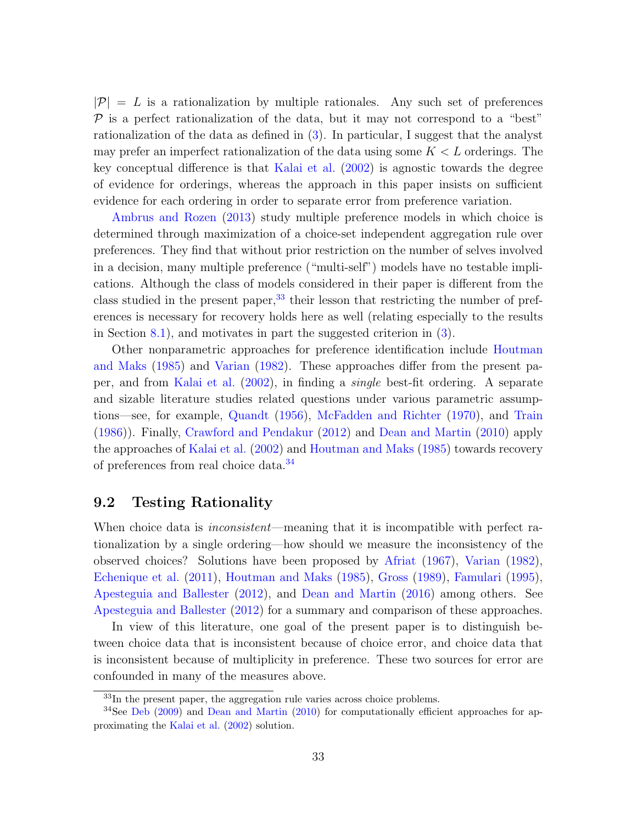$|\mathcal{P}| = L$  is a rationalization by multiple rationales. Any such set of preferences  $\mathcal P$  is a perfect rationalization of the data, but it may not correspond to a "best" rationalization of the data as defined in [\(3\)](#page-10-2). In particular, I suggest that the analyst may prefer an imperfect rationalization of the data using some  $K < L$  orderings. The key conceptual difference is that [Kalai et al.](#page-48-1) [\(2002\)](#page-48-1) is agnostic towards the degree of evidence for orderings, whereas the approach in this paper insists on sufficient evidence for each ordering in order to separate error from preference variation.

[Ambrus and Rozen](#page-47-4) [\(2013\)](#page-47-4) study multiple preference models in which choice is determined through maximization of a choice-set independent aggregation rule over preferences. They find that without prior restriction on the number of selves involved in a decision, many multiple preference ("multi-self") models have no testable implications. Although the class of models considered in their paper is different from the class studied in the present paper,  $33$  their lesson that restricting the number of preferences is necessary for recovery holds here as well (relating especially to the results in Section [8.1\)](#page-27-2), and motivates in part the suggested criterion in  $(3)$ .

Other nonparametric approaches for preference identification include [Houtman](#page-48-0) [and Maks](#page-48-0) [\(1985\)](#page-48-0) and [Varian](#page-48-2) [\(1982\)](#page-48-2). These approaches differ from the present paper, and from [Kalai et al.](#page-48-1) [\(2002\)](#page-48-1), in finding a single best-fit ordering. A separate and sizable literature studies related questions under various parametric assumptions—see, for example, [Quandt](#page-48-9) [\(1956\)](#page-48-9), [McFadden and Richter](#page-48-10) [\(1970\)](#page-48-10), and [Train](#page-48-11) [\(1986\)](#page-48-11)). Finally, [Crawford and Pendakur](#page-47-1) [\(2012\)](#page-47-1) and [Dean and Martin](#page-47-2) [\(2010\)](#page-47-2) apply the approaches of [Kalai et al.](#page-48-1) [\(2002\)](#page-48-1) and [Houtman and Maks](#page-48-0) [\(1985\)](#page-48-0) towards recovery of preferences from real choice data.[34](#page-32-1)

### 9.2 Testing Rationality

When choice data is *inconsistent*—meaning that it is incompatible with perfect rationalization by a single ordering—how should we measure the inconsistency of the observed choices? Solutions have been proposed by [Afriat](#page-47-8) [\(1967\)](#page-47-8), [Varian](#page-48-2) [\(1982\)](#page-48-2), [Echenique et al.](#page-47-9) [\(2011\)](#page-47-9), [Houtman and Maks](#page-48-0) [\(1985\)](#page-48-0), [Gross](#page-48-12) [\(1989\)](#page-48-12), [Famulari](#page-47-3) [\(1995\)](#page-47-3), [Apesteguia and Ballester](#page-47-10) [\(2012\)](#page-47-10), and [Dean and Martin](#page-47-11) [\(2016\)](#page-47-11) among others. See [Apesteguia and Ballester](#page-47-10) [\(2012\)](#page-47-10) for a summary and comparison of these approaches.

In view of this literature, one goal of the present paper is to distinguish between choice data that is inconsistent because of choice error, and choice data that is inconsistent because of multiplicity in preference. These two sources for error are confounded in many of the measures above.

<span id="page-32-1"></span><span id="page-32-0"></span><sup>&</sup>lt;sup>33</sup>In the present paper, the aggregation rule varies across choice problems.

<sup>&</sup>lt;sup>34</sup>See [Deb](#page-47-12) [\(2009\)](#page-47-12) and [Dean and Martin](#page-47-2) [\(2010\)](#page-47-2) for computationally efficient approaches for approximating the [Kalai et al.](#page-48-1) [\(2002\)](#page-48-1) solution.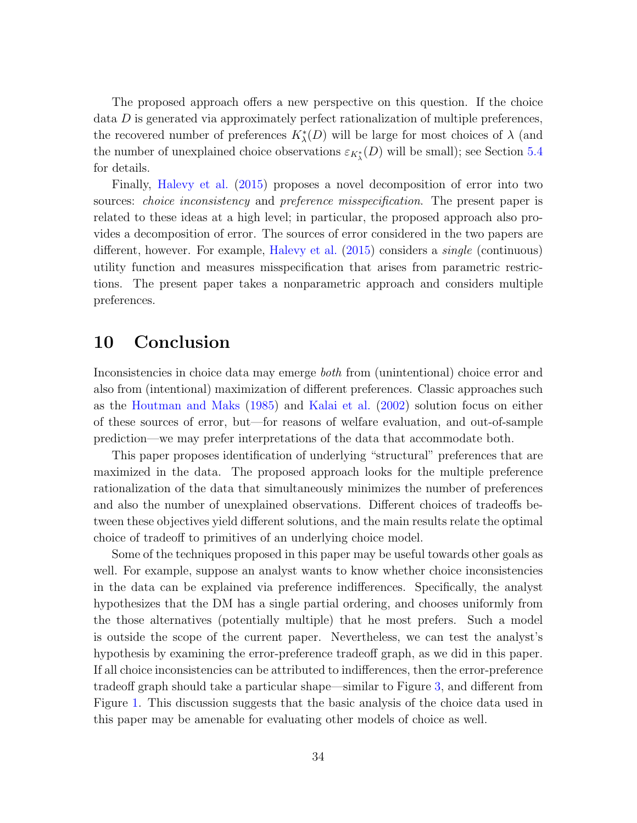The proposed approach offers a new perspective on this question. If the choice data D is generated via approximately perfect rationalization of multiple preferences, the recovered number of preferences  $K^*_{\lambda}(D)$  will be large for most choices of  $\lambda$  (and the number of unexplained choice observations  $\varepsilon_{K_{\lambda}^{*}}(D)$  will be small); see Section [5.4](#page-19-0) for details.

Finally, [Halevy et al.](#page-48-13) [\(2015\)](#page-48-13) proposes a novel decomposition of error into two sources: *choice inconsistency* and *preference misspecification*. The present paper is related to these ideas at a high level; in particular, the proposed approach also provides a decomposition of error. The sources of error considered in the two papers are different, however. For example, [Halevy et al.](#page-48-13) [\(2015\)](#page-48-13) considers a single (continuous) utility function and measures misspecification that arises from parametric restrictions. The present paper takes a nonparametric approach and considers multiple preferences.

## 10 Conclusion

Inconsistencies in choice data may emerge both from (unintentional) choice error and also from (intentional) maximization of different preferences. Classic approaches such as the [Houtman and Maks](#page-48-0) [\(1985\)](#page-48-0) and [Kalai et al.](#page-48-1) [\(2002\)](#page-48-1) solution focus on either of these sources of error, but—for reasons of welfare evaluation, and out-of-sample prediction—we may prefer interpretations of the data that accommodate both.

This paper proposes identification of underlying "structural" preferences that are maximized in the data. The proposed approach looks for the multiple preference rationalization of the data that simultaneously minimizes the number of preferences and also the number of unexplained observations. Different choices of tradeoffs between these objectives yield different solutions, and the main results relate the optimal choice of tradeoff to primitives of an underlying choice model.

Some of the techniques proposed in this paper may be useful towards other goals as well. For example, suppose an analyst wants to know whether choice inconsistencies in the data can be explained via preference indifferences. Specifically, the analyst hypothesizes that the DM has a single partial ordering, and chooses uniformly from the those alternatives (potentially multiple) that he most prefers. Such a model is outside the scope of the current paper. Nevertheless, we can test the analyst's hypothesis by examining the error-preference tradeoff graph, as we did in this paper. If all choice inconsistencies can be attributed to indifferences, then the error-preference tradeoff graph should take a particular shape—similar to Figure [3,](#page-21-0) and different from Figure [1.](#page-5-1) This discussion suggests that the basic analysis of the choice data used in this paper may be amenable for evaluating other models of choice as well.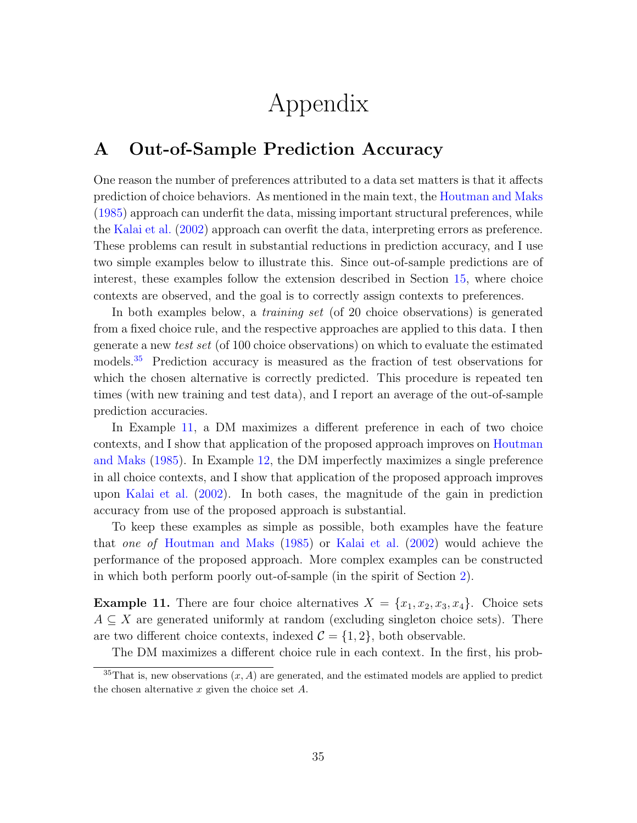# Appendix

## <span id="page-34-0"></span>A Out-of-Sample Prediction Accuracy

One reason the number of preferences attributed to a data set matters is that it affects prediction of choice behaviors. As mentioned in the main text, the [Houtman and Maks](#page-48-0) [\(1985\)](#page-48-0) approach can underfit the data, missing important structural preferences, while the [Kalai et al.](#page-48-1) [\(2002\)](#page-48-1) approach can overfit the data, interpreting errors as preference. These problems can result in substantial reductions in prediction accuracy, and I use two simple examples below to illustrate this. Since out-of-sample predictions are of interest, these examples follow the extension described in Section [15,](#page-31-1) where choice contexts are observed, and the goal is to correctly assign contexts to preferences.

In both examples below, a training set (of 20 choice observations) is generated from a fixed choice rule, and the respective approaches are applied to this data. I then generate a new test set (of 100 choice observations) on which to evaluate the estimated models.[35](#page-34-1) Prediction accuracy is measured as the fraction of test observations for which the chosen alternative is correctly predicted. This procedure is repeated ten times (with new training and test data), and I report an average of the out-of-sample prediction accuracies.

In Example [11,](#page-34-2) a DM maximizes a different preference in each of two choice contexts, and I show that application of the proposed approach improves on [Houtman](#page-48-0) [and Maks](#page-48-0) [\(1985\)](#page-48-0). In Example [12,](#page-35-0) the DM imperfectly maximizes a single preference in all choice contexts, and I show that application of the proposed approach improves upon [Kalai et al.](#page-48-1) [\(2002\)](#page-48-1). In both cases, the magnitude of the gain in prediction accuracy from use of the proposed approach is substantial.

To keep these examples as simple as possible, both examples have the feature that one of [Houtman and Maks](#page-48-0) [\(1985\)](#page-48-0) or [Kalai et al.](#page-48-1) [\(2002\)](#page-48-1) would achieve the performance of the proposed approach. More complex examples can be constructed in which both perform poorly out-of-sample (in the spirit of Section [2\)](#page-4-0).

<span id="page-34-2"></span>**Example 11.** There are four choice alternatives  $X = \{x_1, x_2, x_3, x_4\}$ . Choice sets  $A \subseteq X$  are generated uniformly at random (excluding singleton choice sets). There are two different choice contexts, indexed  $\mathcal{C} = \{1, 2\}$ , both observable.

<span id="page-34-1"></span>The DM maximizes a different choice rule in each context. In the first, his prob-

<sup>&</sup>lt;sup>35</sup>That is, new observations  $(x, A)$  are generated, and the estimated models are applied to predict the chosen alternative  $x$  given the choice set  $A$ .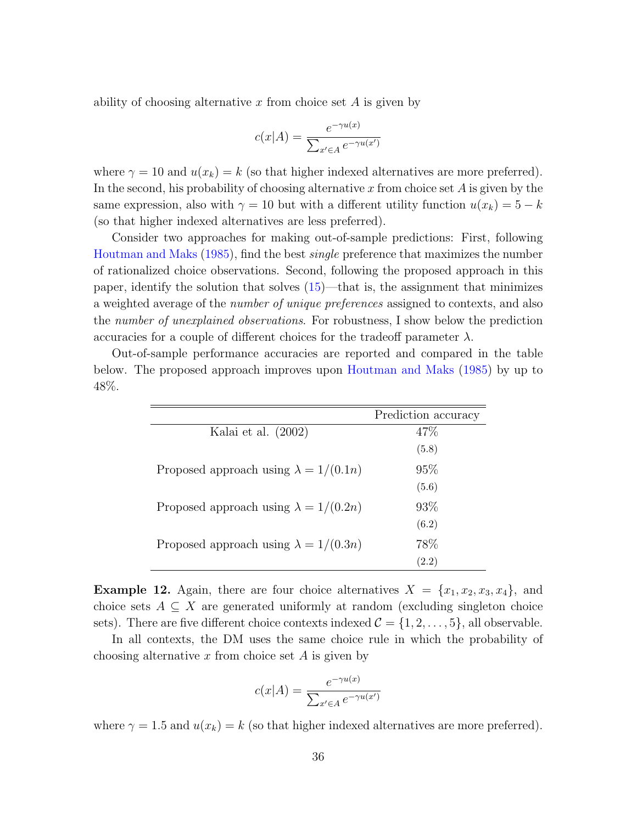ability of choosing alternative x from choice set  $A$  is given by

$$
c(x|A) = \frac{e^{-\gamma u(x)}}{\sum_{x' \in A} e^{-\gamma u(x')}}
$$

where  $\gamma = 10$  and  $u(x_k) = k$  (so that higher indexed alternatives are more preferred). In the second, his probability of choosing alternative x from choice set  $A$  is given by the same expression, also with  $\gamma = 10$  but with a different utility function  $u(x_k) = 5 - k$ (so that higher indexed alternatives are less preferred).

Consider two approaches for making out-of-sample predictions: First, following [Houtman and Maks](#page-48-0) [\(1985\)](#page-48-0), find the best single preference that maximizes the number of rationalized choice observations. Second, following the proposed approach in this paper, identify the solution that solves [\(15\)](#page-31-1)—that is, the assignment that minimizes a weighted average of the number of unique preferences assigned to contexts, and also the number of unexplained observations. For robustness, I show below the prediction accuracies for a couple of different choices for the tradeoff parameter  $\lambda$ .

Out-of-sample performance accuracies are reported and compared in the table below. The proposed approach improves upon [Houtman and Maks](#page-48-0) [\(1985\)](#page-48-0) by up to 48%.

|                                              | Prediction accuracy |
|----------------------------------------------|---------------------|
| Kalai et al. $(2002)$                        | 47\%                |
|                                              | (5.8)               |
| Proposed approach using $\lambda = 1/(0.1n)$ | 95%                 |
|                                              | (5.6)               |
| Proposed approach using $\lambda = 1/(0.2n)$ | 93\%                |
|                                              | (6.2)               |
| Proposed approach using $\lambda = 1/(0.3n)$ | 78\%                |
|                                              | (2.2)               |

<span id="page-35-0"></span>**Example 12.** Again, there are four choice alternatives  $X = \{x_1, x_2, x_3, x_4\}$ , and choice sets  $A \subseteq X$  are generated uniformly at random (excluding singleton choice sets). There are five different choice contexts indexed  $\mathcal{C} = \{1, 2, \ldots, 5\}$ , all observable.

In all contexts, the DM uses the same choice rule in which the probability of choosing alternative x from choice set  $A$  is given by

$$
c(x|A) = \frac{e^{-\gamma u(x)}}{\sum_{x' \in A} e^{-\gamma u(x')}}
$$

where  $\gamma = 1.5$  and  $u(x_k) = k$  (so that higher indexed alternatives are more preferred).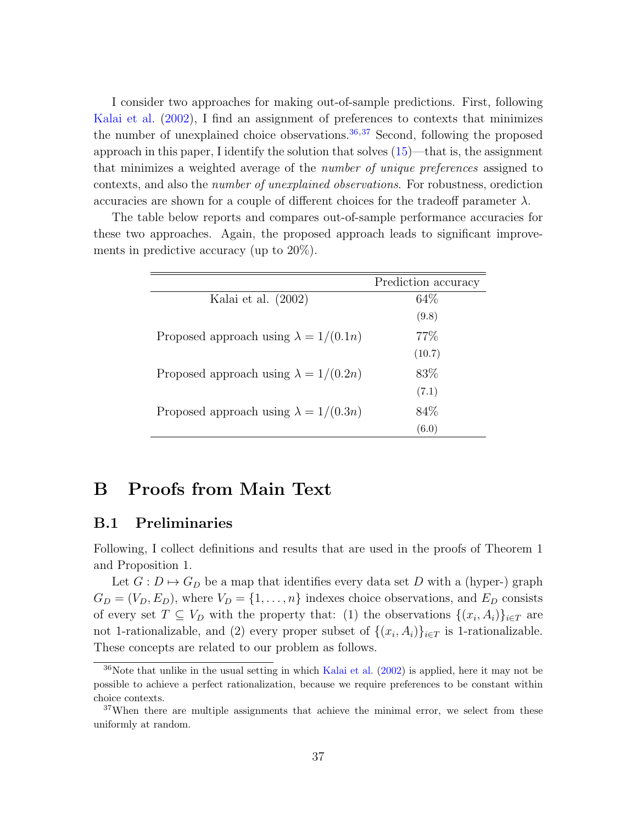I consider two approaches for making out-of-sample predictions. First, following [Kalai et al.](#page-48-1) [\(2002\)](#page-48-1), I find an assignment of preferences to contexts that minimizes the number of unexplained choice observations.  $36,37$  $36,37$  $36,37$  Second, following the proposed approach in this paper, I identify the solution that solves  $(15)$ —that is, the assignment that minimizes a weighted average of the *number of unique preferences* assigned to contexts, and also the number of unexplained observations. For robustness, orediction accuracies are shown for a couple of different choices for the tradeoff parameter  $\lambda$ .

The table below reports and compares out-of-sample performance accuracies for these two approaches. Again, the proposed approach leads to significant improvements in predictive accuracy (up to 20%).

|                                              | Prediction accuracy |
|----------------------------------------------|---------------------|
| Kalai et al. (2002)                          | 64\%                |
|                                              | (9.8)               |
| Proposed approach using $\lambda = 1/(0.1n)$ | 77\%                |
|                                              | (10.7)              |
| Proposed approach using $\lambda = 1/(0.2n)$ | 83\%                |
|                                              | (7.1)               |
| Proposed approach using $\lambda = 1/(0.3n)$ | 84\%                |
|                                              | (6.0)               |

## B Proofs from Main Text

#### B.1 Preliminaries

Following, I collect definitions and results that are used in the proofs of Theorem 1 and Proposition 1.

Let  $G: D \mapsto G_D$  be a map that identifies every data set D with a (hyper-) graph  $G_D = (V_D, E_D)$ , where  $V_D = \{1, \ldots, n\}$  indexes choice observations, and  $E_D$  consists of every set  $T \subseteq V_D$  with the property that: (1) the observations  $\{(x_i, A_i)\}_{i \in T}$  are not 1-rationalizable, and (2) every proper subset of  $\{(x_i, A_i)\}_{i \in T}$  is 1-rationalizable. These concepts are related to our problem as follows.

<span id="page-36-0"></span><sup>36</sup>Note that unlike in the usual setting in which [Kalai et al.](#page-48-1) [\(2002\)](#page-48-1) is applied, here it may not be possible to achieve a perfect rationalization, because we require preferences to be constant within choice contexts.

<span id="page-36-1"></span> $37$ When there are multiple assignments that achieve the minimal error, we select from these uniformly at random.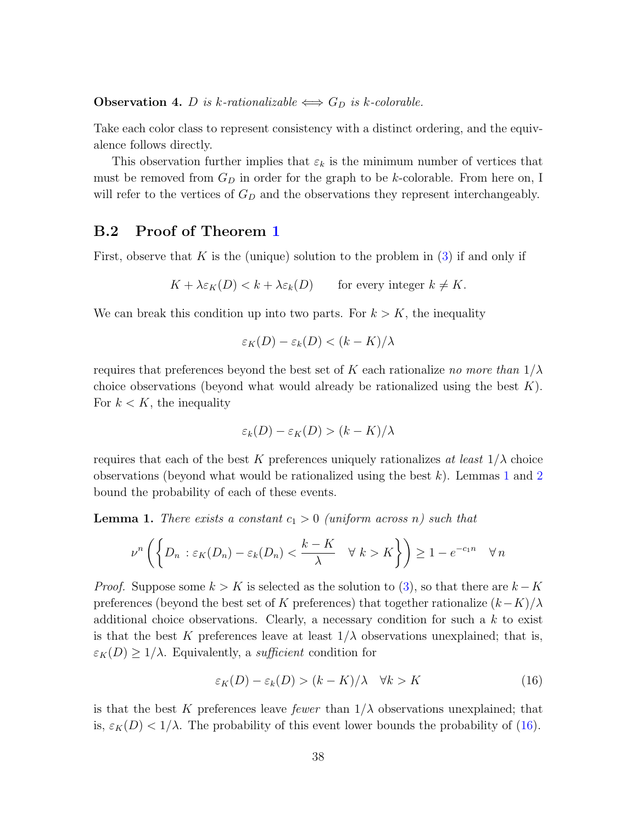<span id="page-37-3"></span>**Observation 4.** D is k-rationalizable  $\iff G_D$  is k-colorable.

Take each color class to represent consistency with a distinct ordering, and the equivalence follows directly.

This observation further implies that  $\varepsilon_k$  is the minimum number of vertices that must be removed from  $G_D$  in order for the graph to be k-colorable. From here on, I will refer to the vertices of  $G_D$  and the observations they represent interchangeably.

### <span id="page-37-0"></span>B.2 Proof of Theorem [1](#page-16-1)

First, observe that  $K$  is the (unique) solution to the problem in  $(3)$  if and only if

$$
K + \lambda \varepsilon_K(D) < k + \lambda \varepsilon_k(D) \qquad \text{for every integer } k \neq K.
$$

We can break this condition up into two parts. For  $k > K$ , the inequality

$$
\varepsilon_K(D) - \varepsilon_k(D) < (k - K)/\lambda
$$

requires that preferences beyond the best set of K each rationalize no more than  $1/\lambda$ choice observations (beyond what would already be rationalized using the best  $K$ ). For  $k < K$ , the inequality

$$
\varepsilon_k(D) - \varepsilon_K(D) > (k - K)/\lambda
$$

requires that each of the best K preferences uniquely rationalizes at least  $1/\lambda$  choice observations (beyond what would be rationalized using the best  $k$ ). Lemmas [1](#page-37-1) and [2](#page-38-0) bound the probability of each of these events.

<span id="page-37-1"></span>**Lemma 1.** There exists a constant  $c_1 > 0$  (uniform across n) such that

$$
\nu^n \left( \left\{ D_n : \varepsilon_K(D_n) - \varepsilon_k(D_n) < \frac{k-K}{\lambda} \quad \forall \ k > K \right\} \right) \ge 1 - e^{-c_1 n} \quad \forall n
$$

*Proof.* Suppose some  $k > K$  is selected as the solution to [\(3\)](#page-10-2), so that there are  $k - K$ preferences (beyond the best set of K preferences) that together rationalize  $(k-K)/\lambda$ additional choice observations. Clearly, a necessary condition for such a  $k$  to exist is that the best K preferences leave at least  $1/\lambda$  observations unexplained; that is,  $\varepsilon_K(D) \geq 1/\lambda$ . Equivalently, a *sufficient* condition for

<span id="page-37-2"></span>
$$
\varepsilon_K(D) - \varepsilon_k(D) > (k - K)/\lambda \quad \forall k > K \tag{16}
$$

is that the best K preferences leave fewer than  $1/\lambda$  observations unexplained; that is,  $\varepsilon_K(D) < 1/\lambda$ . The probability of this event lower bounds the probability of [\(16\)](#page-37-2).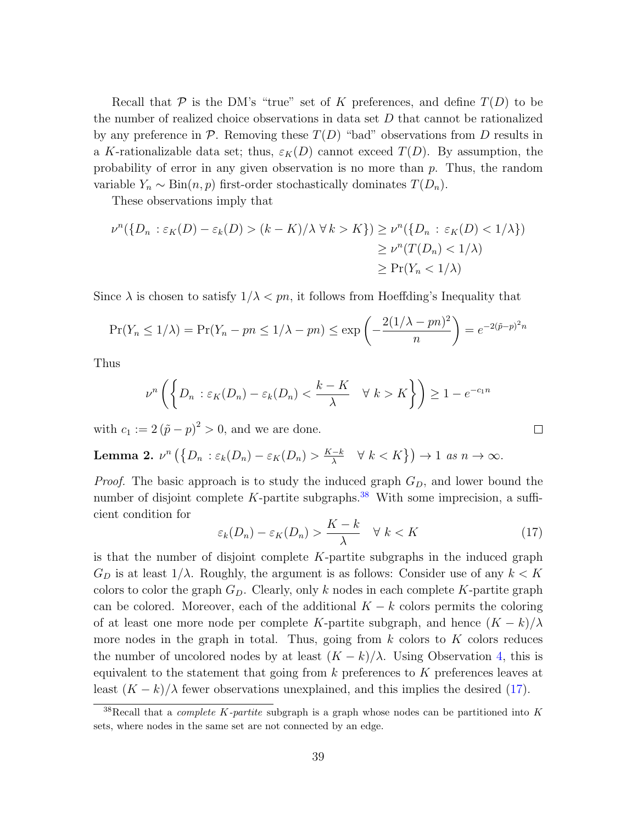Recall that  $P$  is the DM's "true" set of K preferences, and define  $T(D)$  to be the number of realized choice observations in data set D that cannot be rationalized by any preference in  $\mathcal P$ . Removing these  $T(D)$  "bad" observations from D results in a K-rationalizable data set; thus,  $\varepsilon_K(D)$  cannot exceed  $T(D)$ . By assumption, the probability of error in any given observation is no more than p. Thus, the random variable  $Y_n \sim \text{Bin}(n, p)$  first-order stochastically dominates  $T(D_n)$ .

These observations imply that

$$
\nu^n(\{D_n : \varepsilon_K(D) - \varepsilon_k(D) > (k - K)/\lambda \,\forall \, k > K\}) \ge \nu^n(\{D_n : \varepsilon_K(D) < 1/\lambda\})
$$
\n
$$
\ge \nu^n(T(D_n) < 1/\lambda)
$$
\n
$$
\ge \Pr(Y_n < 1/\lambda)
$$

Since  $\lambda$  is chosen to satisfy  $1/\lambda < pn$ , it follows from Hoeffding's Inequality that

$$
\Pr(Y_n \le 1/\lambda) = \Pr(Y_n - pn \le 1/\lambda - pn) \le \exp\left(-\frac{2(1/\lambda - pn)^2}{n}\right) = e^{-2(\tilde{p} - p)^2 n}
$$

Thus

$$
\nu^n \left( \left\{ D_n : \varepsilon_K(D_n) - \varepsilon_k(D_n) < \frac{k-K}{\lambda} \quad \forall \ k > K \right\} \right) \ge 1 - e^{-c_1 n}
$$

with  $c_1 := 2(\tilde{p} - p)^2 > 0$ , and we are done.

<span id="page-38-0"></span>**Lemma 2.** 
$$
\nu^n \left( \{ D_n : \varepsilon_k(D_n) - \varepsilon_K(D_n) > \frac{K-k}{\lambda} \quad \forall \ k < K \} \right) \to 1 \text{ as } n \to \infty.
$$

*Proof.* The basic approach is to study the induced graph  $G_D$ , and lower bound the number of disjoint complete  $K$ -partite subgraphs.<sup>[38](#page-38-1)</sup> With some imprecision, a sufficient condition for

<span id="page-38-2"></span>
$$
\varepsilon_k(D_n) - \varepsilon_K(D_n) > \frac{K - k}{\lambda} \quad \forall \ k < K \tag{17}
$$

 $\Box$ 

is that the number of disjoint complete K-partite subgraphs in the induced graph  $G_D$  is at least  $1/\lambda$ . Roughly, the argument is as follows: Consider use of any  $k < K$ colors to color the graph  $G_D$ . Clearly, only k nodes in each complete K-partite graph can be colored. Moreover, each of the additional  $K - k$  colors permits the coloring of at least one more node per complete K-partite subgraph, and hence  $(K - k)/\lambda$ more nodes in the graph in total. Thus, going from  $k$  colors to  $K$  colors reduces the number of uncolored nodes by at least  $(K - k)/\lambda$ . Using Observation [4,](#page-37-3) this is equivalent to the statement that going from k preferences to K preferences leaves at least  $(K - k)/\lambda$  fewer observations unexplained, and this implies the desired [\(17\)](#page-38-2).

<span id="page-38-1"></span><sup>&</sup>lt;sup>38</sup>Recall that a *complete K-partite* subgraph is a graph whose nodes can be partitioned into K sets, where nodes in the same set are not connected by an edge.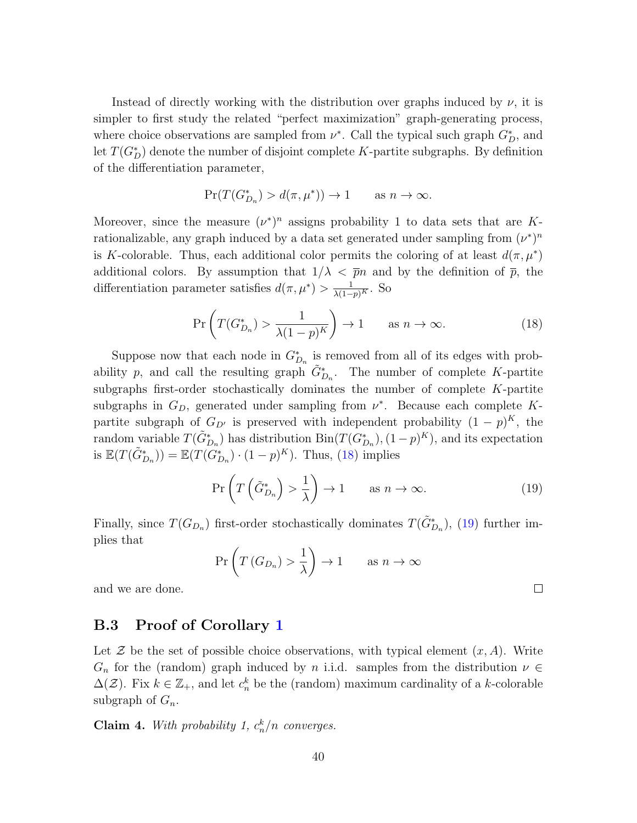Instead of directly working with the distribution over graphs induced by  $\nu$ , it is simpler to first study the related "perfect maximization" graph-generating process, where choice observations are sampled from  $\nu^*$ . Call the typical such graph  $G_D^*$ , and let  $T(G_D^*)$  denote the number of disjoint complete K-partite subgraphs. By definition of the differentiation parameter,

$$
\Pr(T(G_{D_n}^*) > d(\pi, \mu^*)) \to 1 \quad \text{as } n \to \infty.
$$

Moreover, since the measure  $(\nu^*)^n$  assigns probability 1 to data sets that are Krationalizable, any graph induced by a data set generated under sampling from  $(\nu^*)^n$ is K-colorable. Thus, each additional color permits the coloring of at least  $d(\pi, \mu^*)$ additional colors. By assumption that  $1/\lambda < \bar{p}n$  and by the definition of  $\bar{p}$ , the differentiation parameter satisfies  $d(\pi, \mu^*) > \frac{1}{\lambda(1-p)^K}$ . So

<span id="page-39-0"></span>
$$
\Pr\left(T(G_{D_n}^*) > \frac{1}{\lambda(1-p)^K}\right) \to 1 \qquad \text{as } n \to \infty. \tag{18}
$$

Suppose now that each node in  $G_{D_n}^*$  is removed from all of its edges with probability p, and call the resulting graph  $\tilde{G}_{D_n}^*$ . The number of complete K-partite subgraphs first-order stochastically dominates the number of complete K-partite subgraphs in  $G_D$ , generated under sampling from  $\nu^*$ . Because each complete Kpartite subgraph of  $G_{D'}$  is preserved with independent probability  $(1-p)^K$ , the random variable  $T(\tilde{G}_{D_n}^*)$  has distribution  $\text{Bin}(T(G_{D_n}^*), (1-p)^K)$ , and its expectation is  $\mathbb{E}(T(\tilde{G}_{D_n}^*)) = \mathbb{E}(T(G_{D_n}^*) \cdot (1-p)^K)$ . Thus, [\(18\)](#page-39-0) implies

<span id="page-39-1"></span>
$$
\Pr\left(T\left(\tilde{G}_{D_n}^*\right) > \frac{1}{\lambda}\right) \to 1 \qquad \text{as } n \to \infty. \tag{19}
$$

 $\Box$ 

Finally, since  $T(G_{D_n})$  first-order stochastically dominates  $T(\tilde{G}_{D_n}^*)$ , [\(19\)](#page-39-1) further implies that

$$
\Pr\left(T\left(G_{D_n}\right) > \frac{1}{\lambda}\right) \to 1 \qquad \text{as } n \to \infty
$$

and we are done.

#### B.3 Proof of Corollary [1](#page-18-0)

Let  $\mathcal Z$  be the set of possible choice observations, with typical element  $(x, A)$ . Write  $G_n$  for the (random) graph induced by n i.i.d. samples from the distribution  $\nu \in$  $\Delta(\mathcal{Z})$ . Fix  $k \in \mathbb{Z}_+$ , and let  $c_n^k$  be the (random) maximum cardinality of a k-colorable subgraph of  $G_n$ .

<span id="page-39-2"></span>**Claim 4.** With probability 1,  $c_n^k/n$  converges.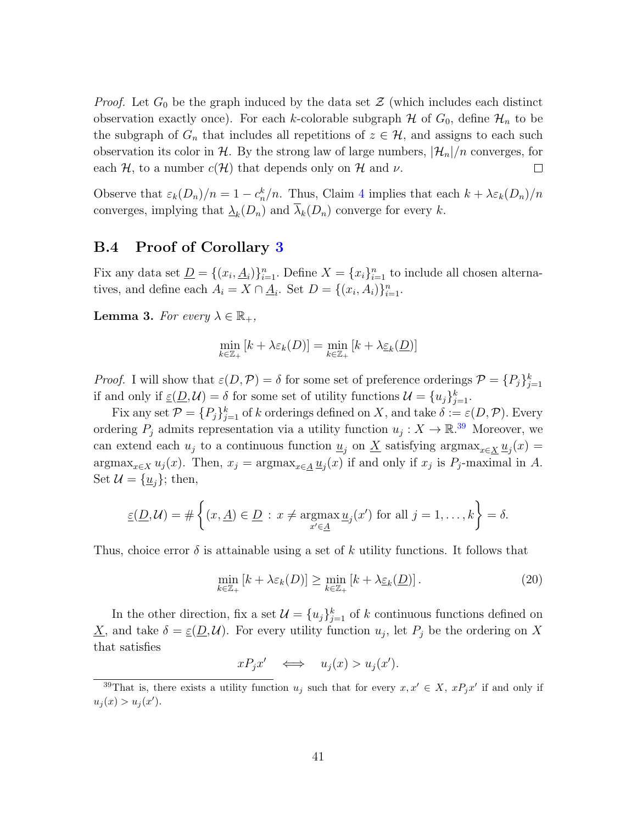*Proof.* Let  $G_0$  be the graph induced by the data set  $\mathcal Z$  (which includes each distinct observation exactly once). For each k-colorable subgraph  $\mathcal H$  of  $G_0$ , define  $\mathcal H_n$  to be the subgraph of  $G_n$  that includes all repetitions of  $z \in \mathcal{H}$ , and assigns to each such observation its color in H. By the strong law of large numbers,  $|\mathcal{H}_n|/n$  converges, for each H, to a number  $c(H)$  that depends only on H and  $\nu$ .  $\Box$ 

Observe that  $\varepsilon_k(D_n)/n = 1 - c_n^k/n$ . Thus, Claim [4](#page-39-2) implies that each  $k + \lambda \varepsilon_k(D_n)/n$ converges, implying that  $\Delta_k(D_n)$  and  $\lambda_k(D_n)$  converge for every k.

#### <span id="page-40-0"></span>B.4 Proof of Corollary [3](#page-23-0)

Fix any data set  $\underline{D} = \{(x_i, \underline{A}_i)\}_{i=1}^n$ . Define  $X = \{x_i\}_{i=1}^n$  to include all chosen alternatives, and define each  $A_i = X \cap \underline{A}_i$ . Set  $D = \{(x_i, A_i)\}_{i=1}^n$ .

**Lemma 3.** For every  $\lambda \in \mathbb{R}_+$ ,

$$
\min_{k \in \mathbb{Z}_+} [k + \lambda \varepsilon_k(D)] = \min_{k \in \mathbb{Z}_+} [k + \lambda \underline{\varepsilon}_k(\underline{D})]
$$

*Proof.* I will show that  $\varepsilon(D, \mathcal{P}) = \delta$  for some set of preference orderings  $\mathcal{P} = \{P_j\}_{j=1}^k$ if and only if  $\underline{\varepsilon}(\underline{D}, \mathcal{U}) = \delta$  for some set of utility functions  $\mathcal{U} = \{u_j\}_{j=1}^k$ .

Fix any set  $P = \{P_j\}_{j=1}^k$  of k orderings defined on X, and take  $\delta := \varepsilon(D, \mathcal{P})$ . Every ordering  $P_j$  admits representation via a utility function  $u_j: X \to \mathbb{R}^{39}$  $u_j: X \to \mathbb{R}^{39}$  $u_j: X \to \mathbb{R}^{39}$  Moreover, we can extend each  $u_j$  to a continuous function  $\underline{u}_j$  on  $\underline{X}$  satisfying argmax<sub>x∈X</sub>  $\underline{u}_j(x)$  =  $\arg\max_{x \in X} u_j(x)$ . Then,  $x_j = \arg\max_{x \in \underline{A}} u_j(x)$  if and only if  $x_j$  is  $P_j$ -maximal in A. Set  $\mathcal{U} = {\underline{u}_i}$ ; then,

$$
\underline{\varepsilon}(\underline{D},\mathcal{U}) = \#\left\{(x,\underline{A}) \in \underline{D} : x \neq \underset{x' \in \underline{A}}{\operatorname{argmax}} \underline{u}_j(x') \text{ for all } j = 1,\ldots,k\right\} = \delta.
$$

Thus, choice error  $\delta$  is attainable using a set of k utility functions. It follows that

$$
\min_{k \in \mathbb{Z}_+} \left[ k + \lambda \varepsilon_k(D) \right] \ge \min_{k \in \mathbb{Z}_+} \left[ k + \lambda \underline{\varepsilon}_k(\underline{D}) \right]. \tag{20}
$$

In the other direction, fix a set  $\mathcal{U} = \{u_j\}_{j=1}^k$  of k continuous functions defined on  $\underline{X}$ , and take  $\delta = \underline{\varepsilon}(\underline{D}, \mathcal{U})$ . For every utility function  $u_j$ , let  $P_j$  be the ordering on X that satisfies

 $xP_jx' \iff u_j(x) > u_j(x').$ 

<span id="page-40-1"></span><sup>&</sup>lt;sup>39</sup>That is, there exists a utility function  $u_j$  such that for every  $x, x' \in X$ ,  $xP_jx'$  if and only if  $u_j(x) > u_j(x')$ .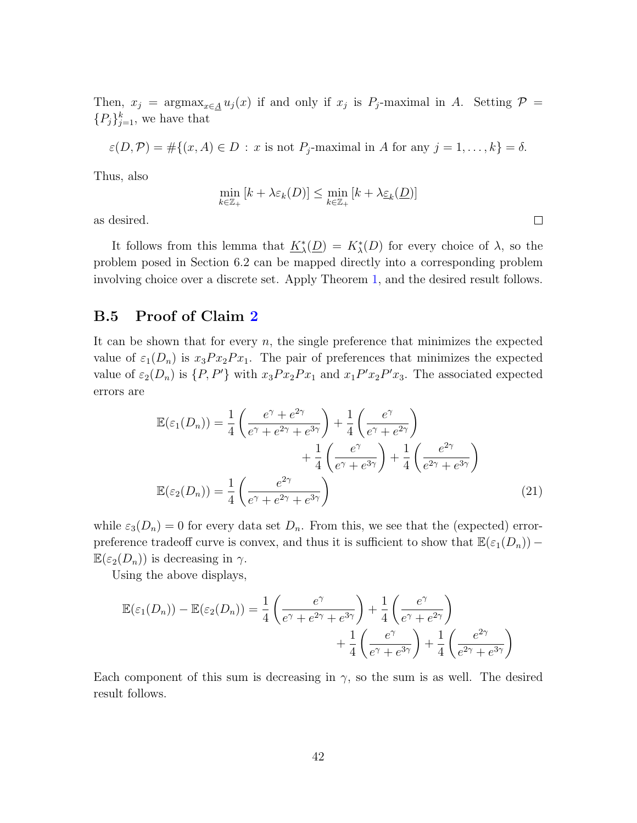Then,  $x_j = \arg \max_{x \in \underline{A}} u_j(x)$  if and only if  $x_j$  is  $P_j$ -maximal in A. Setting  $\mathcal{P} =$  ${P<sub>j</sub>}<sub>j=1</sub><sup>k</sup>$ , we have that

$$
\varepsilon(D,\mathcal{P}) = \#\{(x,A) \in D : x \text{ is not } P_j\text{-maximal in } A \text{ for any } j = 1,\ldots,k\} = \delta.
$$

Thus, also

$$
\min_{k \in \mathbb{Z}_+} [k + \lambda \varepsilon_k(D)] \le \min_{k \in \mathbb{Z}_+} [k + \lambda \underline{\varepsilon}_k(\underline{D})]
$$

<span id="page-41-0"></span> $\Box$ 

as desired.

It follows from this lemma that  $K^*_{\lambda}$  $\chi(\underline{D}) = K_{\lambda}^{*}(D)$  for every choice of  $\lambda$ , so the problem posed in Section 6.2 can be mapped directly into a corresponding problem involving choice over a discrete set. Apply Theorem [1,](#page-16-1) and the desired result follows.

## B.5 Proof of Claim [2](#page-20-0)

It can be shown that for every  $n$ , the single preference that minimizes the expected value of  $\varepsilon_1(D_n)$  is  $x_3Px_2Px_1$ . The pair of preferences that minimizes the expected value of  $\varepsilon_2(D_n)$  is  $\{P, P'\}$  with  $x_3Px_2Px_1$  and  $x_1P'x_2P'x_3$ . The associated expected errors are

$$
\mathbb{E}(\varepsilon_1(D_n)) = \frac{1}{4} \left( \frac{e^{\gamma} + e^{2\gamma}}{e^{\gamma} + e^{2\gamma} + e^{3\gamma}} \right) + \frac{1}{4} \left( \frac{e^{\gamma}}{e^{\gamma} + e^{2\gamma}} \right) + \frac{1}{4} \left( \frac{e^{\gamma}}{e^{\gamma} + e^{3\gamma}} \right) + \frac{1}{4} \left( \frac{e^{2\gamma}}{e^{2\gamma} + e^{3\gamma}} \right)
$$

$$
\mathbb{E}(\varepsilon_2(D_n)) = \frac{1}{4} \left( \frac{e^{2\gamma}}{e^{\gamma} + e^{2\gamma} + e^{3\gamma}} \right) \tag{21}
$$

while  $\varepsilon_3(D_n) = 0$  for every data set  $D_n$ . From this, we see that the (expected) errorpreference tradeoff curve is convex, and thus it is sufficient to show that  $\mathbb{E}(\varepsilon_1(D_n))$  –  $\mathbb{E}(\varepsilon_2(D_n))$  is decreasing in  $\gamma$ .

Using the above displays,

$$
\mathbb{E}(\varepsilon_1(D_n)) - \mathbb{E}(\varepsilon_2(D_n)) = \frac{1}{4} \left( \frac{e^{\gamma}}{e^{\gamma} + e^{2\gamma} + e^{3\gamma}} \right) + \frac{1}{4} \left( \frac{e^{\gamma}}{e^{\gamma} + e^{2\gamma}} \right) + \frac{1}{4} \left( \frac{e^{\gamma}}{e^{\gamma} + e^{3\gamma}} \right) + \frac{1}{4} \left( \frac{e^{2\gamma}}{e^{2\gamma} + e^{3\gamma}} \right)
$$

Each component of this sum is decreasing in  $\gamma$ , so the sum is as well. The desired result follows.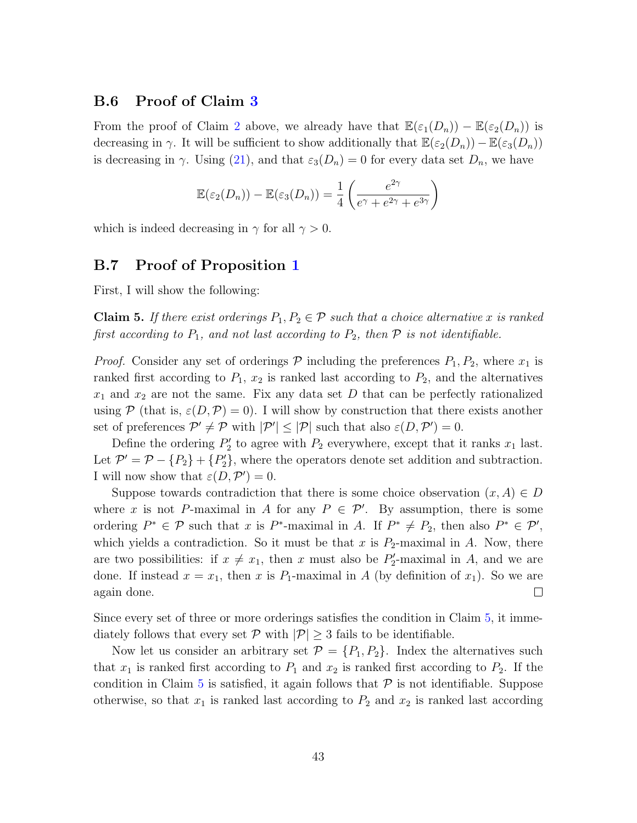#### B.6 Proof of Claim [3](#page-20-1)

From the proof of Claim [2](#page-20-0) above, we already have that  $\mathbb{E}(\varepsilon_1(D_n)) - \mathbb{E}(\varepsilon_2(D_n))$  is decreasing in  $\gamma$ . It will be sufficient to show additionally that  $\mathbb{E}(\varepsilon_2(D_n)) - \mathbb{E}(\varepsilon_3(D_n))$ is decreasing in  $\gamma$ . Using [\(21\)](#page-41-0), and that  $\varepsilon_3(D_n) = 0$  for every data set  $D_n$ , we have

$$
\mathbb{E}(\varepsilon_2(D_n)) - \mathbb{E}(\varepsilon_3(D_n)) = \frac{1}{4} \left( \frac{e^{2\gamma}}{e^{\gamma} + e^{2\gamma} + e^{3\gamma}} \right)
$$

which is indeed decreasing in  $\gamma$  for all  $\gamma > 0$ .

#### B.7 Proof of Proposition [1](#page-28-1)

First, I will show the following:

<span id="page-42-0"></span>**Claim 5.** If there exist orderings  $P_1, P_2 \in \mathcal{P}$  such that a choice alternative x is ranked first according to  $P_1$ , and not last according to  $P_2$ , then  $P$  is not identifiable.

*Proof.* Consider any set of orderings  $P$  including the preferences  $P_1, P_2$ , where  $x_1$  is ranked first according to  $P_1$ ,  $x_2$  is ranked last according to  $P_2$ , and the alternatives  $x_1$  and  $x_2$  are not the same. Fix any data set D that can be perfectly rationalized using P (that is,  $\varepsilon(D,\mathcal{P})=0$ ). I will show by construction that there exists another set of preferences  $\mathcal{P}' \neq \mathcal{P}$  with  $|\mathcal{P}'| \leq |\mathcal{P}|$  such that also  $\varepsilon(D, \mathcal{P}') = 0$ .

Define the ordering  $P'_2$  to agree with  $P_2$  everywhere, except that it ranks  $x_1$  last. Let  $\mathcal{P}' = \mathcal{P} - \{P_2\} + \{P'_2\}$ , where the operators denote set addition and subtraction. I will now show that  $\varepsilon(D, \mathcal{P}') = 0$ .

Suppose towards contradiction that there is some choice observation  $(x, A) \in D$ where x is not P-maximal in A for any  $P \in \mathcal{P}'$ . By assumption, there is some ordering  $P^* \in \mathcal{P}$  such that x is  $P^*$ -maximal in A. If  $P^* \neq P_2$ , then also  $P^* \in \mathcal{P}'$ , which yields a contradiction. So it must be that x is  $P_2$ -maximal in A. Now, there are two possibilities: if  $x \neq x_1$ , then x must also be  $P'_2$ -maximal in A, and we are done. If instead  $x = x_1$ , then x is  $P_1$ -maximal in A (by definition of  $x_1$ ). So we are again done.  $\Box$ 

Since every set of three or more orderings satisfies the condition in Claim [5,](#page-42-0) it immediately follows that every set  $P$  with  $|P| \geq 3$  fails to be identifiable.

Now let us consider an arbitrary set  $\mathcal{P} = \{P_1, P_2\}$ . Index the alternatives such that  $x_1$  is ranked first according to  $P_1$  and  $x_2$  is ranked first according to  $P_2$ . If the condition in Claim [5](#page-42-0) is satisfied, it again follows that  $P$  is not identifiable. Suppose otherwise, so that  $x_1$  is ranked last according to  $P_2$  and  $x_2$  is ranked last according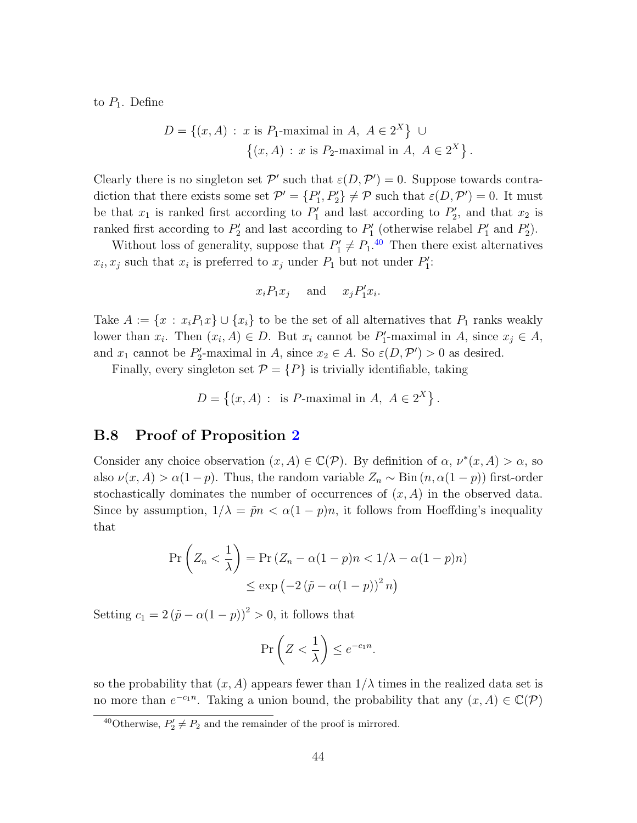to  $P_1$ . Define

$$
D = \{(x, A) : x \text{ is } P_1\text{-maximal in } A, A \in 2^X \} \cup \{(x, A) : x \text{ is } P_2\text{-maximal in } A, A \in 2^X \}.
$$

Clearly there is no singleton set  $\mathcal{P}'$  such that  $\varepsilon(D, \mathcal{P}') = 0$ . Suppose towards contradiction that there exists some set  $\mathcal{P}' = \{P'_1, P'_2\} \neq \mathcal{P}$  such that  $\varepsilon(D, \mathcal{P}') = 0$ . It must be that  $x_1$  is ranked first according to  $P'_1$  and last according to  $P'_2$ , and that  $x_2$  is ranked first according to  $P'_2$  and last according to  $P'_1$  (otherwise relabel  $P'_1$  and  $P'_2$ ).

Without loss of generality, suppose that  $P'_1 \neq P_1$ .<sup>[40](#page-43-0)</sup> Then there exist alternatives  $x_i, x_j$  such that  $x_i$  is preferred to  $x_j$  under  $P_1$  but not under  $P'_1$ :

$$
x_i P_1 x_j
$$
 and  $x_j P'_1 x_i$ .

Take  $A := \{x : x_i P_1 x\} \cup \{x_i\}$  to be the set of all alternatives that  $P_1$  ranks weakly lower than  $x_i$ . Then  $(x_i, A) \in D$ . But  $x_i$  cannot be  $P'_1$ -maximal in A, since  $x_j \in A$ , and  $x_1$  cannot be  $P'_2$ -maximal in A, since  $x_2 \in A$ . So  $\varepsilon(D, \mathcal{P}') > 0$  as desired.

Finally, every singleton set  $\mathcal{P} = \{P\}$  is trivially identifiable, taking

 $D = \{(x, A) : \text{ is } P\text{-maximal in } A, A \in 2^X \}.$ 

#### B.8 Proof of Proposition [2](#page-29-0)

Consider any choice observation  $(x, A) \in \mathbb{C}(\mathcal{P})$ . By definition of  $\alpha$ ,  $\nu^*(x, A) > \alpha$ , so also  $\nu(x, A) > \alpha(1-p)$ . Thus, the random variable  $Z_n \sim \text{Bin}(n, \alpha(1-p))$  first-order stochastically dominates the number of occurrences of  $(x, A)$  in the observed data. Since by assumption,  $1/\lambda = \tilde{p}n < \alpha(1-p)n$ , it follows from Hoeffding's inequality that

$$
\Pr\left(Z_n < \frac{1}{\lambda}\right) = \Pr\left(Z_n - \alpha(1-p)n < 1/\lambda - \alpha(1-p)n\right)
$$
\n
$$
\leq \exp\left(-2\left(\tilde{p} - \alpha(1-p)\right)^2 n\right)
$$

Setting  $c_1 = 2(\tilde{p} - \alpha(1-p))^2 > 0$ , it follows that

$$
\Pr\left(Z < \frac{1}{\lambda}\right) \le e^{-c_1 n}.
$$

so the probability that  $(x, A)$  appears fewer than  $1/\lambda$  times in the realized data set is no more than  $e^{-c_1n}$ . Taking a union bound, the probability that any  $(x, A) \in \mathbb{C}(\mathcal{P})$ 

<span id="page-43-0"></span><sup>&</sup>lt;sup>40</sup>Otherwise,  $P'_2 \neq P_2$  and the remainder of the proof is mirrored.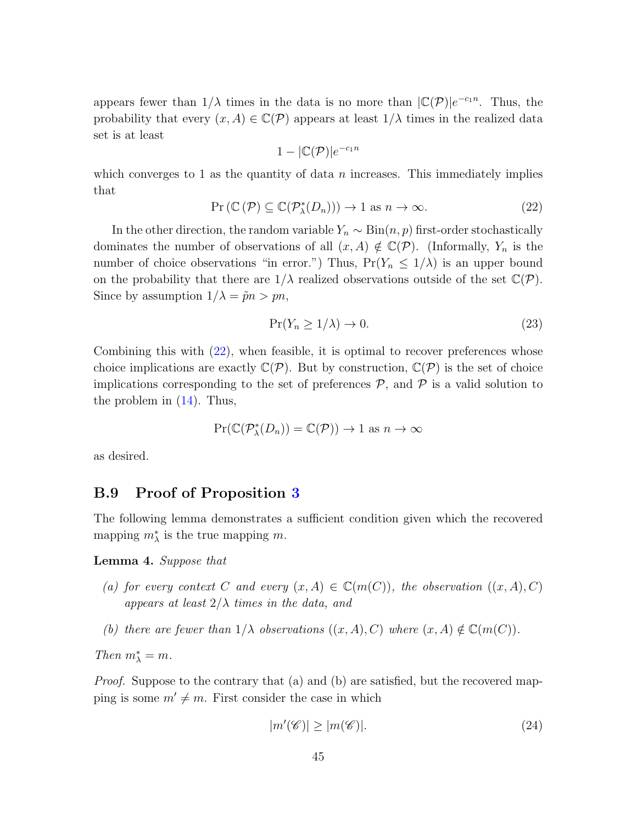appears fewer than  $1/\lambda$  times in the data is no more than  $|\mathbb{C}(\mathcal{P})|e^{-c_1n}$ . Thus, the probability that every  $(x, A) \in \mathbb{C}(\mathcal{P})$  appears at least  $1/\lambda$  times in the realized data set is at least

$$
1-|\mathbb{C}(\mathcal{P})|e^{-c_1n}
$$

which converges to 1 as the quantity of data  $n$  increases. This immediately implies that

<span id="page-44-0"></span>
$$
\Pr\left(\mathbb{C}\left(\mathcal{P}\right)\subseteq\mathbb{C}(\mathcal{P}_{\lambda}^{*}(D_{n}))\right)\to 1 \text{ as } n\to\infty. \tag{22}
$$

In the other direction, the random variable  $Y_n \sim Bin(n, p)$  first-order stochastically dominates the number of observations of all  $(x, A) \notin \mathbb{C}(\mathcal{P})$ . (Informally,  $Y_n$  is the number of choice observations "in error.") Thus,  $Pr(Y_n \leq 1/\lambda)$  is an upper bound on the probability that there are  $1/\lambda$  realized observations outside of the set  $\mathbb{C}(\mathcal{P})$ . Since by assumption  $1/\lambda = \tilde{p}n > pn$ ,

$$
\Pr(Y_n \ge 1/\lambda) \to 0. \tag{23}
$$

Combining this with [\(22\)](#page-44-0), when feasible, it is optimal to recover preferences whose choice implications are exactly  $\mathbb{C}(\mathcal{P})$ . But by construction,  $\mathbb{C}(\mathcal{P})$  is the set of choice implications corresponding to the set of preferences  $P$ , and  $P$  is a valid solution to the problem in [\(14\)](#page-29-2). Thus,

$$
Pr(\mathbb{C}(\mathcal{P}_{\lambda}^*(D_n)) = \mathbb{C}(\mathcal{P})) \to 1 \text{ as } n \to \infty
$$

as desired.

#### B.9 Proof of Proposition [3](#page-31-2)

The following lemma demonstrates a sufficient condition given which the recovered mapping  $m^*$  is the true mapping m.

#### <span id="page-44-2"></span>Lemma 4. Suppose that

- (a) for every context C and every  $(x, A) \in \mathbb{C}(m(C))$ , the observation  $((x, A), C)$ appears at least  $2/\lambda$  times in the data, and
- (b) there are fewer than  $1/\lambda$  observations  $((x, A), C)$  where  $(x, A) \notin \mathbb{C}(m(C)).$

Then  $m^*_{\lambda} = m$ .

Proof. Suppose to the contrary that (a) and (b) are satisfied, but the recovered mapping is some  $m' \neq m$ . First consider the case in which

<span id="page-44-1"></span>
$$
|m'(\mathscr{C})| \ge |m(\mathscr{C})|.\tag{24}
$$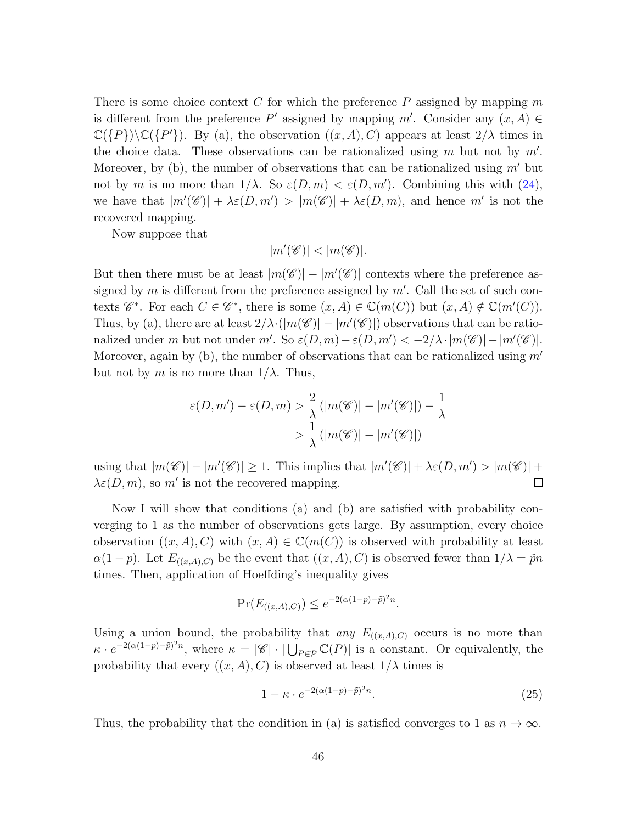There is some choice context C for which the preference  $P$  assigned by mapping  $m$ is different from the preference  $P'$  assigned by mapping  $m'$ . Consider any  $(x, A) \in$  $\mathbb{C}(\{P\})\backslash\mathbb{C}(\{P'\})$ . By (a), the observation  $((x, A), C)$  appears at least  $2/\lambda$  times in the choice data. These observations can be rationalized using  $m$  but not by  $m'$ . Moreover, by  $(b)$ , the number of observations that can be rationalized using m' but not by m is no more than  $1/\lambda$ . So  $\varepsilon(D,m) < \varepsilon(D,m')$ . Combining this with [\(24\)](#page-44-1), we have that  $|m'(\mathscr{C})| + \lambda \varepsilon(D,m') > |m(\mathscr{C})| + \lambda \varepsilon(D,m)$ , and hence m' is not the recovered mapping.

Now suppose that

$$
|m'(\mathscr{C})| < |m(\mathscr{C})|.
$$

But then there must be at least  $|m(\mathscr{C})| - |m'(\mathscr{C})|$  contexts where the preference assigned by  $m$  is different from the preference assigned by  $m'$ . Call the set of such contexts  $\mathscr{C}^*$ . For each  $C \in \mathscr{C}^*$ , there is some  $(x, A) \in \mathbb{C}(m(C))$  but  $(x, A) \notin \mathbb{C}(m'(C))$ . Thus, by (a), there are at least  $2/\lambda \cdot (|m(\mathscr{C})| - |m'(\mathscr{C})|)$  observations that can be rationalized under m but not under  $m'$ . So  $\varepsilon(D, m) - \varepsilon(D, m') < -2/\lambda \cdot |m(\mathscr{C})| - |m'(\mathscr{C})|$ . Moreover, again by (b), the number of observations that can be rationalized using  $m'$ but not by m is no more than  $1/\lambda$ . Thus,

$$
\varepsilon(D, m') - \varepsilon(D, m) > \frac{2}{\lambda} (|m(\mathscr{C})| - |m'(\mathscr{C})|) - \frac{1}{\lambda}
$$

$$
> \frac{1}{\lambda} (|m(\mathscr{C})| - |m'(\mathscr{C})|)
$$

using that  $|m(\mathscr{C})| - |m'(\mathscr{C})| \ge 1$ . This implies that  $|m'(\mathscr{C})| + \lambda \varepsilon(D, m') > |m(\mathscr{C})| +$  $\lambda \varepsilon(D,m)$ , so m' is not the recovered mapping.  $\Box$ 

Now I will show that conditions (a) and (b) are satisfied with probability converging to 1 as the number of observations gets large. By assumption, every choice observation  $((x, A), C)$  with  $(x, A) \in \mathbb{C}(m(C))$  is observed with probability at least  $\alpha(1-p)$ . Let  $E_{((x,A),C)}$  be the event that  $((x,A),C)$  is observed fewer than  $1/\lambda = \tilde{p}n$ times. Then, application of Hoeffding's inequality gives

$$
\Pr(E_{((x,A),C)}) \le e^{-2(\alpha(1-p)-\tilde{p})^2 n}.
$$

Using a union bound, the probability that *any*  $E_{((x,A),C)}$  occurs is no more than  $\kappa \cdot e^{-2(\alpha(1-p)-\tilde{p})^2 n}$ , where  $\kappa = |\mathscr{C}| \cdot |\bigcup_{P \in \mathcal{P}} \mathbb{C}(P)|$  is a constant. Or equivalently, the probability that every  $((x, A), C)$  is observed at least  $1/\lambda$  times is

<span id="page-45-0"></span>
$$
1 - \kappa \cdot e^{-2(\alpha(1-p)-\tilde{p})^2 n}.\tag{25}
$$

Thus, the probability that the condition in (a) is satisfied converges to 1 as  $n \to \infty$ .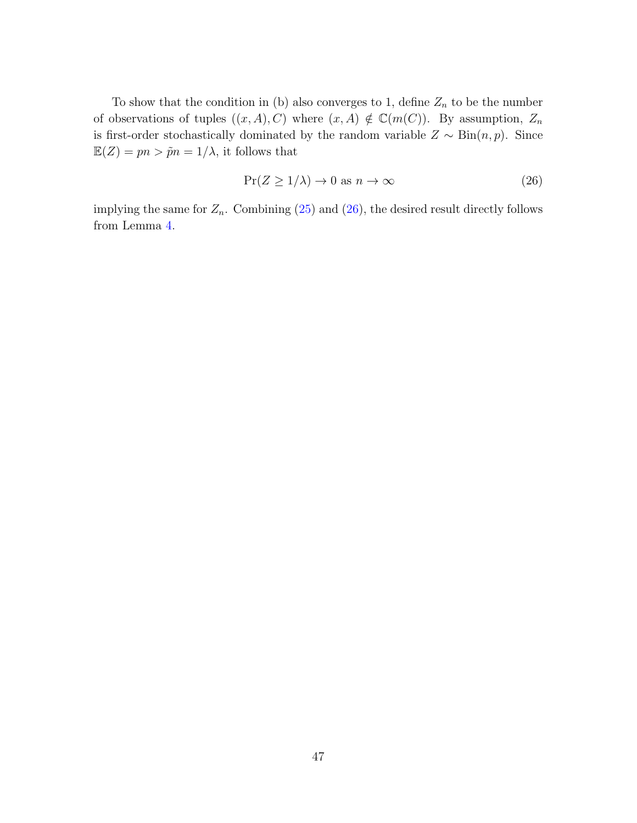To show that the condition in (b) also converges to 1, define  $Z_n$  to be the number of observations of tuples  $((x, A), C)$  where  $(x, A) \notin \mathbb{C}(m(C))$ . By assumption,  $Z_n$ is first-order stochastically dominated by the random variable  $Z \sim Bin(n, p)$ . Since  $\mathbb{E}(Z) = pn > \tilde{p}n = 1/\lambda$ , it follows that

<span id="page-46-0"></span>
$$
\Pr(Z \ge 1/\lambda) \to 0 \text{ as } n \to \infty \tag{26}
$$

implying the same for  $Z_n$ . Combining [\(25\)](#page-45-0) and [\(26\)](#page-46-0), the desired result directly follows from Lemma [4.](#page-44-2)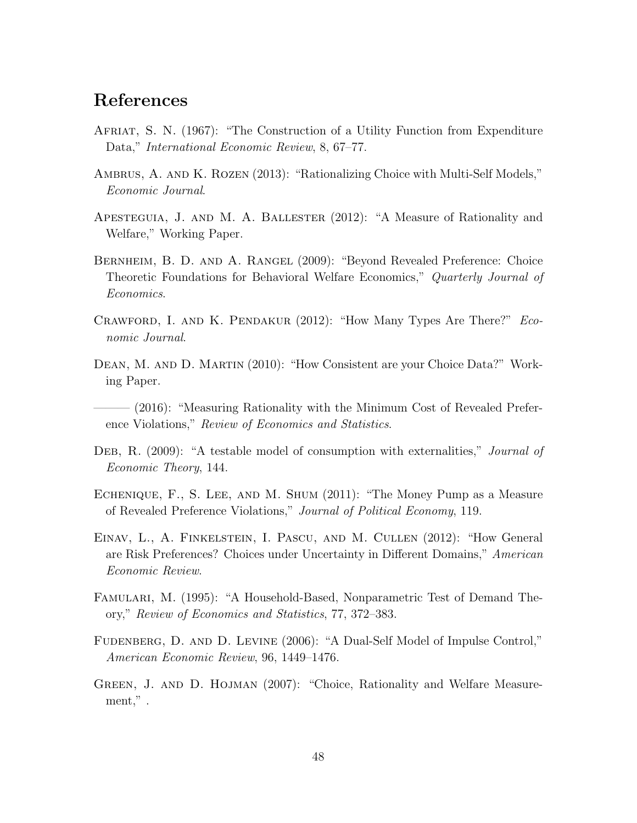## References

- <span id="page-47-8"></span>Afriat, S. N. (1967): "The Construction of a Utility Function from Expenditure Data," International Economic Review, 8, 67–77.
- <span id="page-47-4"></span>AMBRUS, A. AND K. ROZEN (2013): "Rationalizing Choice with Multi-Self Models," Economic Journal.
- <span id="page-47-10"></span>Apesteguia, J. and M. A. Ballester (2012): "A Measure of Rationality and Welfare," Working Paper.
- <span id="page-47-5"></span>Bernheim, B. D. and A. Rangel (2009): "Beyond Revealed Preference: Choice Theoretic Foundations for Behavioral Welfare Economics," Quarterly Journal of Economics.
- <span id="page-47-1"></span>Crawford, I. and K. Pendakur (2012): "How Many Types Are There?" Economic Journal.
- <span id="page-47-2"></span>Dean, M. and D. Martin (2010): "How Consistent are your Choice Data?" Working Paper.
- <span id="page-47-11"></span> $-$  (2016): "Measuring Rationality with the Minimum Cost of Revealed Preference Violations," Review of Economics and Statistics.
- <span id="page-47-12"></span>DEB, R. (2009): "A testable model of consumption with externalities," *Journal of* Economic Theory, 144.
- <span id="page-47-9"></span>Echenique, F., S. Lee, and M. Shum (2011): "The Money Pump as a Measure of Revealed Preference Violations," Journal of Political Economy, 119.
- <span id="page-47-0"></span>Einav, L., A. Finkelstein, I. Pascu, and M. Cullen (2012): "How General are Risk Preferences? Choices under Uncertainty in Different Domains," American Economic Review.
- <span id="page-47-3"></span>Famulari, M. (1995): "A Household-Based, Nonparametric Test of Demand Theory," Review of Economics and Statistics, 77, 372–383.
- <span id="page-47-6"></span>FUDENBERG, D. AND D. LEVINE (2006): "A Dual-Self Model of Impulse Control," American Economic Review, 96, 1449–1476.
- <span id="page-47-7"></span>GREEN, J. AND D. HOJMAN (2007): "Choice, Rationality and Welfare Measurement.".